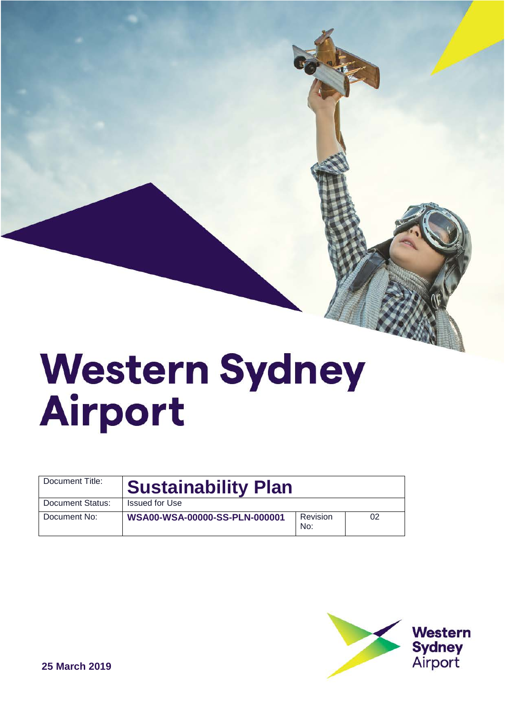# **Western Sydney** Airport

| Document Title:  | <b>Sustainability Plan</b>    |                 |    |
|------------------|-------------------------------|-----------------|----|
| Document Status: | Issued for Use                |                 |    |
| Document No:     | WSA00-WSA-00000-SS-PLN-000001 | Revision<br>No: | 02 |

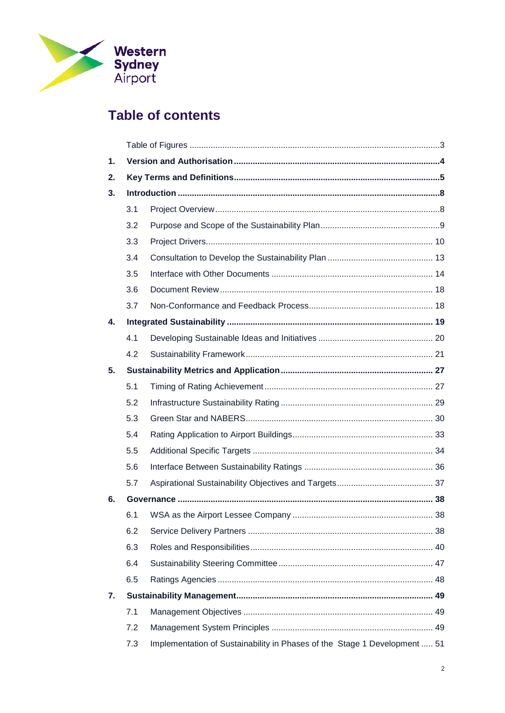

# **Table of contents**

| 1. |     |                                                                           |  |
|----|-----|---------------------------------------------------------------------------|--|
| 2. |     |                                                                           |  |
| 3. |     |                                                                           |  |
|    | 3.1 |                                                                           |  |
|    | 3.2 |                                                                           |  |
|    | 3.3 |                                                                           |  |
|    | 3.4 |                                                                           |  |
|    | 3.5 |                                                                           |  |
|    | 3.6 |                                                                           |  |
|    | 3.7 |                                                                           |  |
| 4. |     |                                                                           |  |
|    | 4.1 |                                                                           |  |
|    | 4.2 |                                                                           |  |
| 5. |     |                                                                           |  |
|    | 5.1 |                                                                           |  |
|    | 5.2 |                                                                           |  |
|    | 5.3 |                                                                           |  |
|    | 5.4 |                                                                           |  |
|    | 5.5 |                                                                           |  |
|    | 5.6 |                                                                           |  |
|    | 5.7 |                                                                           |  |
| 6. |     |                                                                           |  |
|    | 6.1 |                                                                           |  |
|    | 6.2 |                                                                           |  |
|    | 6.3 |                                                                           |  |
|    | 6.4 |                                                                           |  |
|    | 6.5 |                                                                           |  |
| 7. |     |                                                                           |  |
|    | 7.1 |                                                                           |  |
|    | 7.2 |                                                                           |  |
|    | 7.3 | Implementation of Sustainability in Phases of the Stage 1 Development  51 |  |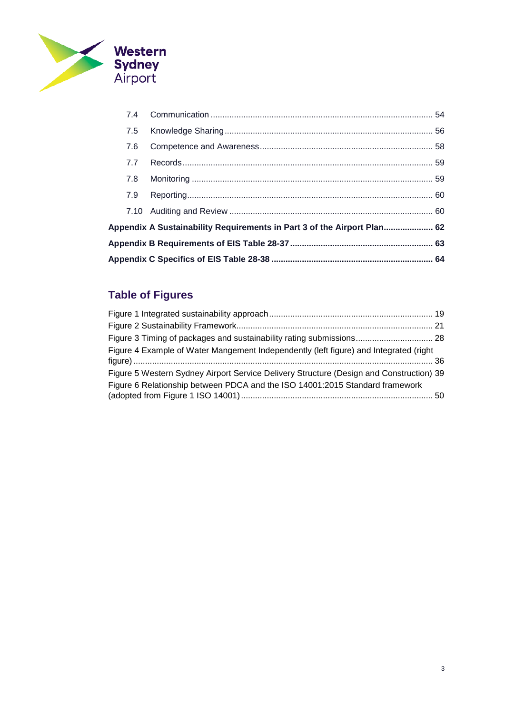

| 7.5 |                                                                         |  |
|-----|-------------------------------------------------------------------------|--|
| 7.6 |                                                                         |  |
| 7.7 |                                                                         |  |
| 7.8 |                                                                         |  |
|     |                                                                         |  |
|     |                                                                         |  |
|     | Appendix A Sustainability Requirements in Part 3 of the Airport Plan 62 |  |
|     |                                                                         |  |
|     |                                                                         |  |

# <span id="page-2-0"></span>**Table of Figures**

| Figure 4 Example of Water Mangement Independently (left figure) and Integrated (right   |  |
|-----------------------------------------------------------------------------------------|--|
| Figure 5 Western Sydney Airport Service Delivery Structure (Design and Construction) 39 |  |
| Figure 6 Relationship between PDCA and the ISO 14001:2015 Standard framework            |  |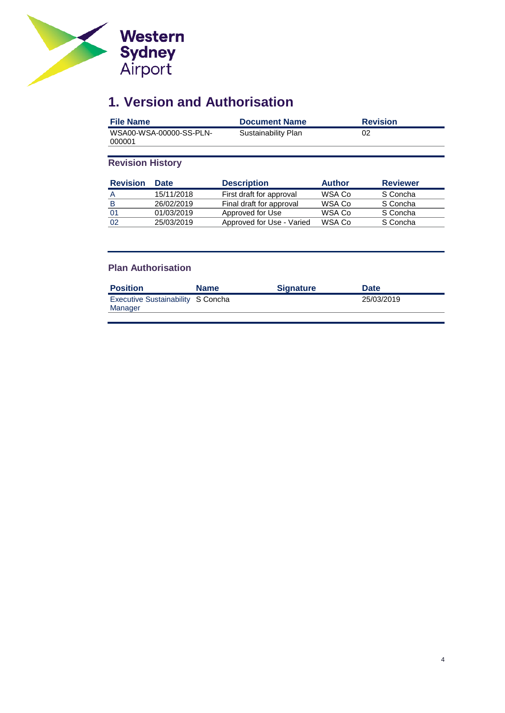

# <span id="page-3-0"></span>**1. Version and Authorisation**

| <b>File Name</b>                  | <b>Document Name</b> | <b>Revision</b> |
|-----------------------------------|----------------------|-----------------|
| WSA00-WSA-00000-SS-PLN-<br>000001 | Sustainability Plan  | 02              |

## **Revision History**

| <b>Revision</b> | <b>Date</b> | <b>Description</b>        | <b>Author</b> | <b>Reviewer</b> |
|-----------------|-------------|---------------------------|---------------|-----------------|
| A               | 15/11/2018  | First draft for approval  | WSA Co        | S Concha        |
| B               | 26/02/2019  | Final draft for approval  | WSA Co        | S Concha        |
| 01              | 01/03/2019  | Approved for Use          | WSA Co        | S Concha        |
| -02             | 25/03/2019  | Approved for Use - Varied | WSA Co        | S Concha        |

## **Plan Authorisation**

| <b>Position</b>                              | <b>Name</b> | <b>Signature</b> | <b>Date</b> |
|----------------------------------------------|-------------|------------------|-------------|
| Executive Sustainability S Concha<br>Manager |             |                  | 25/03/2019  |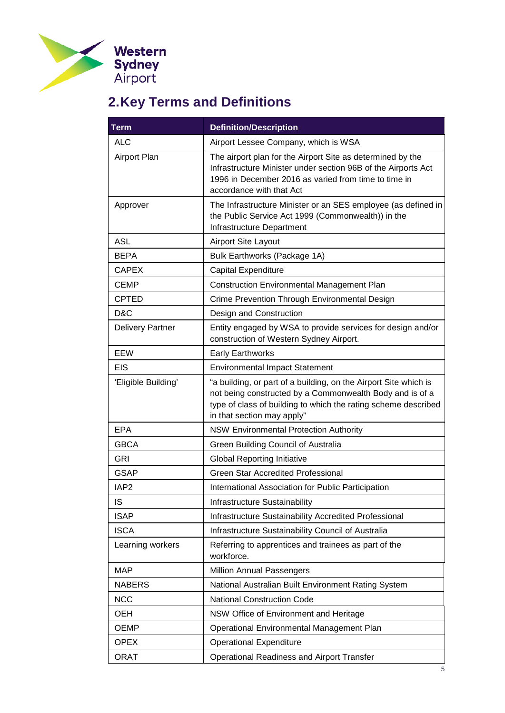

# <span id="page-4-0"></span>**2.Key Terms and Definitions**

| <b>Term</b>             | <b>Definition/Description</b>                                                                                                                                                                                                |  |
|-------------------------|------------------------------------------------------------------------------------------------------------------------------------------------------------------------------------------------------------------------------|--|
| <b>ALC</b>              | Airport Lessee Company, which is WSA                                                                                                                                                                                         |  |
| Airport Plan            | The airport plan for the Airport Site as determined by the<br>Infrastructure Minister under section 96B of the Airports Act<br>1996 in December 2016 as varied from time to time in<br>accordance with that Act              |  |
| Approver                | The Infrastructure Minister or an SES employee (as defined in<br>the Public Service Act 1999 (Commonwealth)) in the<br>Infrastructure Department                                                                             |  |
| <b>ASL</b>              | <b>Airport Site Layout</b>                                                                                                                                                                                                   |  |
| <b>BEPA</b>             | Bulk Earthworks (Package 1A)                                                                                                                                                                                                 |  |
| <b>CAPEX</b>            | Capital Expenditure                                                                                                                                                                                                          |  |
| <b>CEMP</b>             | <b>Construction Environmental Management Plan</b>                                                                                                                                                                            |  |
| <b>CPTED</b>            | Crime Prevention Through Environmental Design                                                                                                                                                                                |  |
| D&C                     | Design and Construction                                                                                                                                                                                                      |  |
| <b>Delivery Partner</b> | Entity engaged by WSA to provide services for design and/or<br>construction of Western Sydney Airport.                                                                                                                       |  |
| EEW                     | <b>Early Earthworks</b>                                                                                                                                                                                                      |  |
| <b>EIS</b>              | <b>Environmental Impact Statement</b>                                                                                                                                                                                        |  |
| 'Eligible Building'     | "a building, or part of a building, on the Airport Site which is<br>not being constructed by a Commonwealth Body and is of a<br>type of class of building to which the rating scheme described<br>in that section may apply" |  |
| <b>EPA</b>              | <b>NSW Environmental Protection Authority</b>                                                                                                                                                                                |  |
| <b>GBCA</b>             | Green Building Council of Australia                                                                                                                                                                                          |  |
| <b>GRI</b>              | <b>Global Reporting Initiative</b>                                                                                                                                                                                           |  |
| <b>GSAP</b>             | <b>Green Star Accredited Professional</b>                                                                                                                                                                                    |  |
| IAP <sub>2</sub>        | International Association for Public Participation                                                                                                                                                                           |  |
| IS                      | Infrastructure Sustainability                                                                                                                                                                                                |  |
| <b>ISAP</b>             | Infrastructure Sustainability Accredited Professional                                                                                                                                                                        |  |
| <b>ISCA</b>             | Infrastructure Sustainability Council of Australia                                                                                                                                                                           |  |
| Learning workers        | Referring to apprentices and trainees as part of the<br>workforce.                                                                                                                                                           |  |
| <b>MAP</b>              | Million Annual Passengers                                                                                                                                                                                                    |  |
| <b>NABERS</b>           | National Australian Built Environment Rating System                                                                                                                                                                          |  |
| <b>NCC</b>              | <b>National Construction Code</b>                                                                                                                                                                                            |  |
| <b>OEH</b>              | NSW Office of Environment and Heritage                                                                                                                                                                                       |  |
| <b>OEMP</b>             | Operational Environmental Management Plan                                                                                                                                                                                    |  |
| <b>OPEX</b>             | <b>Operational Expenditure</b>                                                                                                                                                                                               |  |
| <b>ORAT</b>             | Operational Readiness and Airport Transfer                                                                                                                                                                                   |  |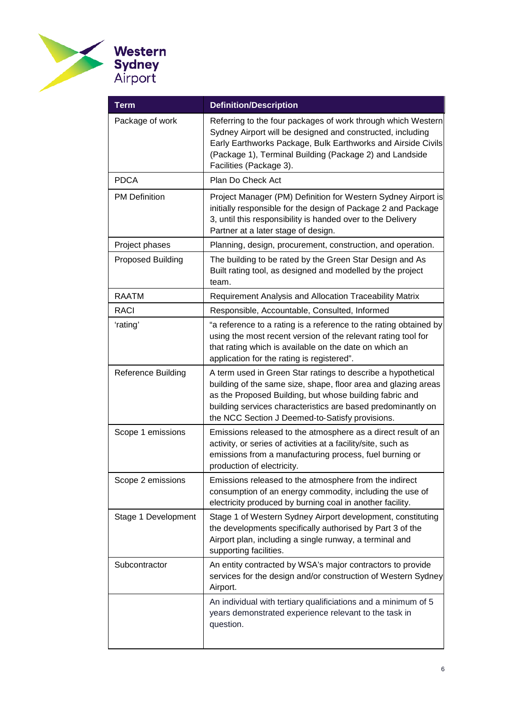

| <b>Term</b>              | <b>Definition/Description</b>                                                                                                                                                                                                                                                                                |  |
|--------------------------|--------------------------------------------------------------------------------------------------------------------------------------------------------------------------------------------------------------------------------------------------------------------------------------------------------------|--|
| Package of work          | Referring to the four packages of work through which Western<br>Sydney Airport will be designed and constructed, including<br>Early Earthworks Package, Bulk Earthworks and Airside Civils<br>(Package 1), Terminal Building (Package 2) and Landside<br>Facilities (Package 3).                             |  |
| <b>PDCA</b>              | Plan Do Check Act                                                                                                                                                                                                                                                                                            |  |
| <b>PM Definition</b>     | Project Manager (PM) Definition for Western Sydney Airport is<br>initially responsible for the design of Package 2 and Package<br>3, until this responsibility is handed over to the Delivery<br>Partner at a later stage of design.                                                                         |  |
| Project phases           | Planning, design, procurement, construction, and operation.                                                                                                                                                                                                                                                  |  |
| <b>Proposed Building</b> | The building to be rated by the Green Star Design and As<br>Built rating tool, as designed and modelled by the project<br>team.                                                                                                                                                                              |  |
| <b>RAATM</b>             | Requirement Analysis and Allocation Traceability Matrix                                                                                                                                                                                                                                                      |  |
| RACI                     | Responsible, Accountable, Consulted, Informed                                                                                                                                                                                                                                                                |  |
| 'rating'                 | "a reference to a rating is a reference to the rating obtained by<br>using the most recent version of the relevant rating tool for<br>that rating which is available on the date on which an<br>application for the rating is registered".                                                                   |  |
| Reference Building       | A term used in Green Star ratings to describe a hypothetical<br>building of the same size, shape, floor area and glazing areas<br>as the Proposed Building, but whose building fabric and<br>building services characteristics are based predominantly on<br>the NCC Section J Deemed-to-Satisfy provisions. |  |
| Scope 1 emissions        | Emissions released to the atmosphere as a direct result of an<br>activity, or series of activities at a facility/site, such as<br>emissions from a manufacturing process, fuel burning or<br>production of electricity.                                                                                      |  |
| Scope 2 emissions        | Emissions released to the atmosphere from the indirect<br>consumption of an energy commodity, including the use of<br>electricity produced by burning coal in another facility.                                                                                                                              |  |
| Stage 1 Development      | Stage 1 of Western Sydney Airport development, constituting<br>the developments specifically authorised by Part 3 of the<br>Airport plan, including a single runway, a terminal and<br>supporting facilities.                                                                                                |  |
| Subcontractor            | An entity contracted by WSA's major contractors to provide<br>services for the design and/or construction of Western Sydney<br>Airport.                                                                                                                                                                      |  |
|                          | An individual with tertiary qualificiations and a minimum of 5<br>years demonstrated experience relevant to the task in<br>question.                                                                                                                                                                         |  |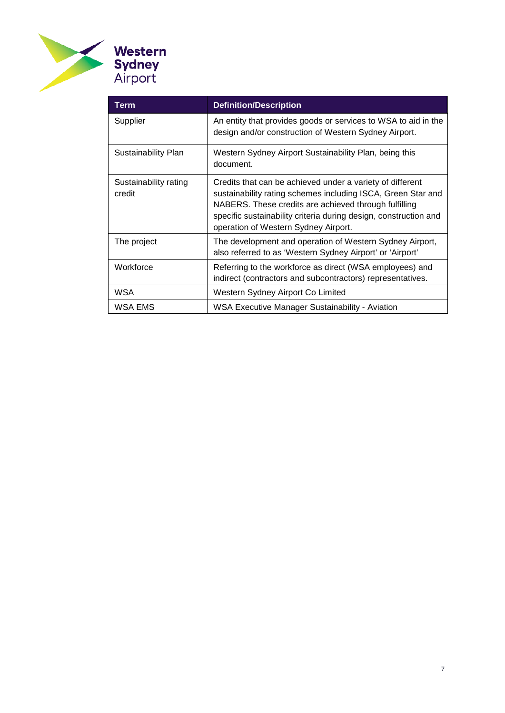

| Term                            | <b>Definition/Description</b>                                                                                                                                                                                                                                                                  |
|---------------------------------|------------------------------------------------------------------------------------------------------------------------------------------------------------------------------------------------------------------------------------------------------------------------------------------------|
| Supplier                        | An entity that provides goods or services to WSA to aid in the<br>design and/or construction of Western Sydney Airport.                                                                                                                                                                        |
| Sustainability Plan             | Western Sydney Airport Sustainability Plan, being this<br>document.                                                                                                                                                                                                                            |
| Sustainability rating<br>credit | Credits that can be achieved under a variety of different<br>sustainability rating schemes including ISCA, Green Star and<br>NABERS. These credits are achieved through fulfilling<br>specific sustainability criteria during design, construction and<br>operation of Western Sydney Airport. |
| The project                     | The development and operation of Western Sydney Airport,<br>also referred to as 'Western Sydney Airport' or 'Airport'                                                                                                                                                                          |
| Workforce                       | Referring to the workforce as direct (WSA employees) and<br>indirect (contractors and subcontractors) representatives.                                                                                                                                                                         |
| WSA                             | Western Sydney Airport Co Limited                                                                                                                                                                                                                                                              |
| WSA EMS                         | <b>WSA Executive Manager Sustainability - Aviation</b>                                                                                                                                                                                                                                         |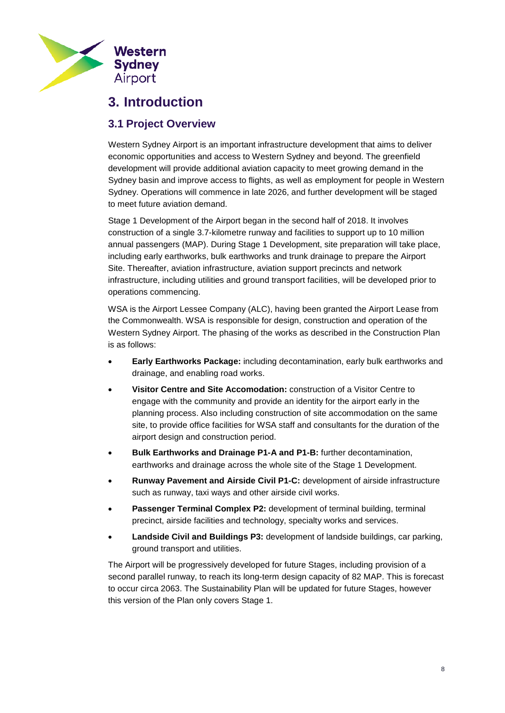

# <span id="page-7-0"></span>**3. Introduction**

## <span id="page-7-1"></span>**3.1 Project Overview**

Western Sydney Airport is an important infrastructure development that aims to deliver economic opportunities and access to Western Sydney and beyond. The greenfield development will provide additional aviation capacity to meet growing demand in the Sydney basin and improve access to flights, as well as employment for people in Western Sydney. Operations will commence in late 2026, and further development will be staged to meet future aviation demand.

Stage 1 Development of the Airport began in the second half of 2018. It involves construction of a single 3.7-kilometre runway and facilities to support up to 10 million annual passengers (MAP). During Stage 1 Development, site preparation will take place, including early earthworks, bulk earthworks and trunk drainage to prepare the Airport Site. Thereafter, aviation infrastructure, aviation support precincts and network infrastructure, including utilities and ground transport facilities, will be developed prior to operations commencing.

WSA is the Airport Lessee Company (ALC), having been granted the Airport Lease from the Commonwealth. WSA is responsible for design, construction and operation of the Western Sydney Airport. The phasing of the works as described in the Construction Plan is as follows:

- **Early Earthworks Package:** including decontamination, early bulk earthworks and drainage, and enabling road works.
- **Visitor Centre and Site Accomodation:** construction of a Visitor Centre to engage with the community and provide an identity for the airport early in the planning process. Also including construction of site accommodation on the same site, to provide office facilities for WSA staff and consultants for the duration of the airport design and construction period.
- **Bulk Earthworks and Drainage P1-A and P1-B:** further decontamination, earthworks and drainage across the whole site of the Stage 1 Development.
- **Runway Pavement and Airside Civil P1-C:** development of airside infrastructure such as runway, taxi ways and other airside civil works.
- **Passenger Terminal Complex P2:** development of terminal building, terminal precinct, airside facilities and technology, specialty works and services.
- **Landside Civil and Buildings P3:** development of landside buildings, car parking, ground transport and utilities.

The Airport will be progressively developed for future Stages, including provision of a second parallel runway, to reach its long-term design capacity of 82 MAP. This is forecast to occur circa 2063. The Sustainability Plan will be updated for future Stages, however this version of the Plan only covers Stage 1.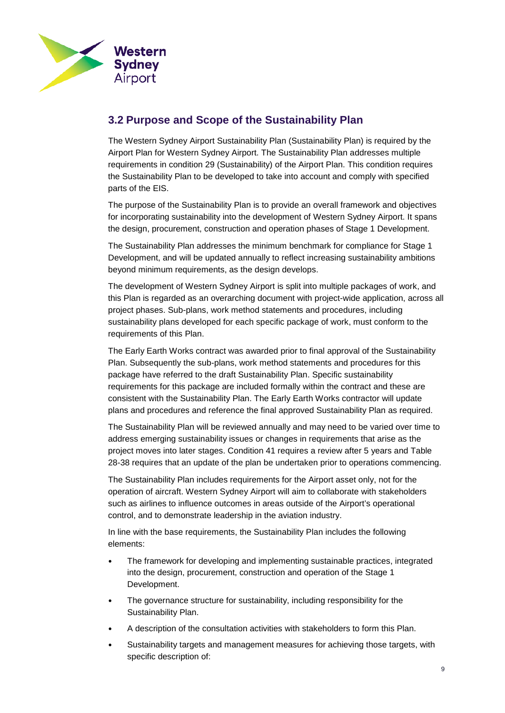

## <span id="page-8-0"></span>**3.2 Purpose and Scope of the Sustainability Plan**

The Western Sydney Airport Sustainability Plan (Sustainability Plan) is required by the Airport Plan for Western Sydney Airport. The Sustainability Plan addresses multiple requirements in condition 29 (Sustainability) of the Airport Plan. This condition requires the Sustainability Plan to be developed to take into account and comply with specified parts of the EIS.

The purpose of the Sustainability Plan is to provide an overall framework and objectives for incorporating sustainability into the development of Western Sydney Airport. It spans the design, procurement, construction and operation phases of Stage 1 Development.

The Sustainability Plan addresses the minimum benchmark for compliance for Stage 1 Development, and will be updated annually to reflect increasing sustainability ambitions beyond minimum requirements, as the design develops.

The development of Western Sydney Airport is split into multiple packages of work, and this Plan is regarded as an overarching document with project-wide application, across all project phases. Sub-plans, work method statements and procedures, including sustainability plans developed for each specific package of work, must conform to the requirements of this Plan.

The Early Earth Works contract was awarded prior to final approval of the Sustainability Plan. Subsequently the sub-plans, work method statements and procedures for this package have referred to the draft Sustainability Plan. Specific sustainability requirements for this package are included formally within the contract and these are consistent with the Sustainability Plan. The Early Earth Works contractor will update plans and procedures and reference the final approved Sustainability Plan as required.

The Sustainability Plan will be reviewed annually and may need to be varied over time to address emerging sustainability issues or changes in requirements that arise as the project moves into later stages. Condition 41 requires a review after 5 years and Table 28-38 requires that an update of the plan be undertaken prior to operations commencing.

The Sustainability Plan includes requirements for the Airport asset only, not for the operation of aircraft. Western Sydney Airport will aim to collaborate with stakeholders such as airlines to influence outcomes in areas outside of the Airport's operational control, and to demonstrate leadership in the aviation industry.

In line with the base requirements, the Sustainability Plan includes the following elements:

- The framework for developing and implementing sustainable practices, integrated into the design, procurement, construction and operation of the Stage 1 Development.
- The governance structure for sustainability, including responsibility for the Sustainability Plan.
- A description of the consultation activities with stakeholders to form this Plan.
- Sustainability targets and management measures for achieving those targets, with specific description of: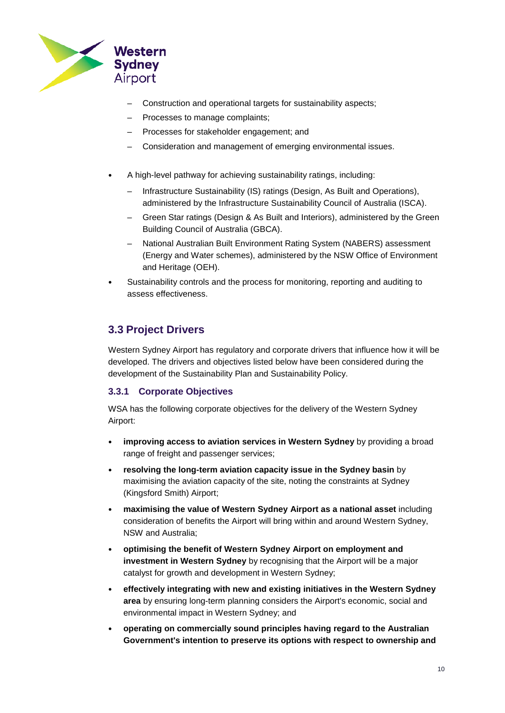

- Construction and operational targets for sustainability aspects;
- Processes to manage complaints;
- Processes for stakeholder engagement; and
- Consideration and management of emerging environmental issues.
- A high-level pathway for achieving sustainability ratings, including:
	- Infrastructure Sustainability (IS) ratings (Design, As Built and Operations), administered by the Infrastructure Sustainability Council of Australia (ISCA).
	- Green Star ratings (Design & As Built and Interiors), administered by the Green Building Council of Australia (GBCA).
	- National Australian Built Environment Rating System (NABERS) assessment (Energy and Water schemes), administered by the NSW Office of Environment and Heritage (OEH).
- Sustainability controls and the process for monitoring, reporting and auditing to assess effectiveness.

## <span id="page-9-0"></span>**3.3 Project Drivers**

Western Sydney Airport has regulatory and corporate drivers that influence how it will be developed. The drivers and objectives listed below have been considered during the development of the Sustainability Plan and Sustainability Policy.

### **3.3.1 Corporate Objectives**

WSA has the following corporate objectives for the delivery of the Western Sydney Airport:

- **improving access to aviation services in Western Sydney** by providing a broad range of freight and passenger services;
- **resolving the long-term aviation capacity issue in the Sydney basin** by maximising the aviation capacity of the site, noting the constraints at Sydney (Kingsford Smith) Airport;
- **maximising the value of Western Sydney Airport as a national asset** including consideration of benefits the Airport will bring within and around Western Sydney, NSW and Australia;
- **optimising the benefit of Western Sydney Airport on employment and investment in Western Sydney** by recognising that the Airport will be a major catalyst for growth and development in Western Sydney;
- **effectively integrating with new and existing initiatives in the Western Sydney area** by ensuring long-term planning considers the Airport's economic, social and environmental impact in Western Sydney; and
- **operating on commercially sound principles having regard to the Australian Government's intention to preserve its options with respect to ownership and**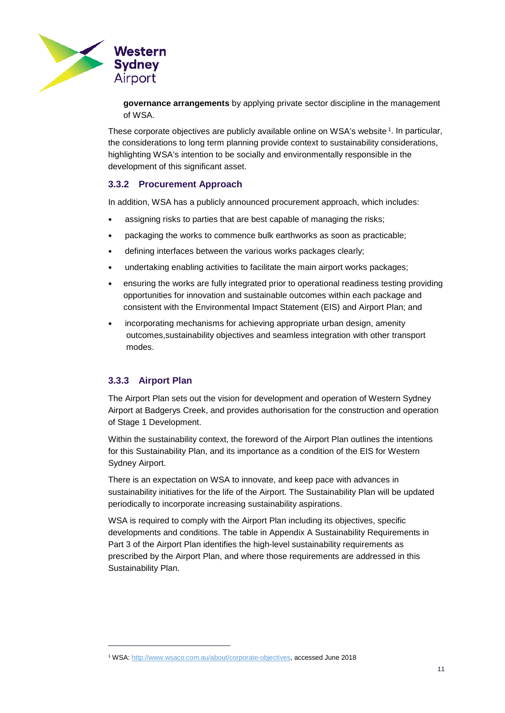

**governance arrangements** by applying private sector discipline in the management of WSA.

These corporate objectives are publicly available online on WSA's website <sup>[1](#page-10-0)</sup>. In particular, the considerations to long term planning provide context to sustainability considerations, highlighting WSA's intention to be socially and environmentally responsible in the development of this significant asset.

## **3.3.2 Procurement Approach**

In addition, WSA has a publicly announced procurement approach, which includes:

- assigning risks to parties that are best capable of managing the risks;
- packaging the works to commence bulk earthworks as soon as practicable;
- defining interfaces between the various works packages clearly;
- undertaking enabling activities to facilitate the main airport works packages;
- ensuring the works are fully integrated prior to operational readiness testing providing opportunities for innovation and sustainable outcomes within each package and consistent with the Environmental Impact Statement (EIS) and Airport Plan; and
- incorporating mechanisms for achieving appropriate urban design, amenity outcomes,sustainability objectives and seamless integration with other transport modes.

### **3.3.3 Airport Plan**

-

The Airport Plan sets out the vision for development and operation of Western Sydney Airport at Badgerys Creek, and provides authorisation for the construction and operation of Stage 1 Development.

Within the sustainability context, the foreword of the Airport Plan outlines the intentions for this Sustainability Plan, and its importance as a condition of the EIS for Western Sydney Airport.

There is an expectation on WSA to innovate, and keep pace with advances in sustainability initiatives for the life of the Airport. The Sustainability Plan will be updated periodically to incorporate increasing sustainability aspirations.

WSA is required to comply with the Airport Plan including its objectives, specific developments and conditions. The table in [Appendix A Sustainability Requirements in](#page-61-0)  Part 3 [of the Airport Plan](#page-61-0) identifies the high-level sustainability requirements as prescribed by the Airport Plan, and where those requirements are addressed in this Sustainability Plan.

<span id="page-10-0"></span><sup>1</sup> WSA[: http://www.wsaco.com.au/about/corporate-objectives,](http://www.wsaco.com.au/about/corporate-objectives) accessed June 2018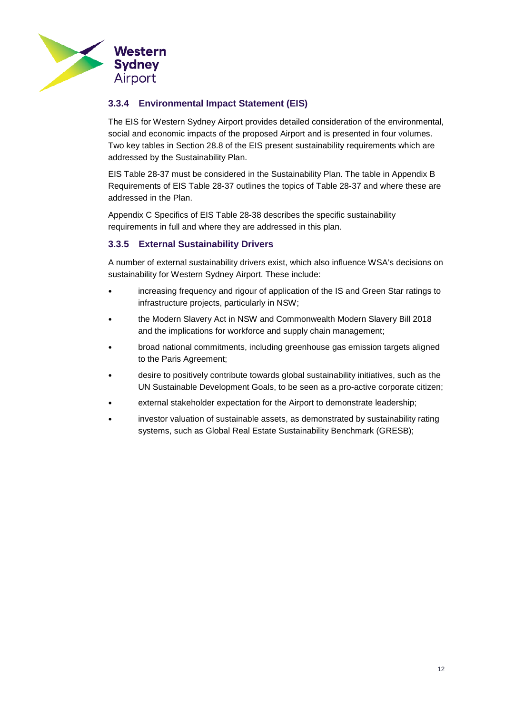

## **3.3.4 Environmental Impact Statement (EIS)**

The EIS for Western Sydney Airport provides detailed consideration of the environmental, social and economic impacts of the proposed Airport and is presented in four volumes. Two key tables in Section 28.8 of the EIS present sustainability requirements which are addressed by the Sustainability Plan.

EIS Table 28-37 must be considered in the Sustainability Plan. The table in [Appendix B](#page-62-0)  [Requirements of EIS Table 28-37](#page-62-0) outlines the topics of Table 28-37 and where these are addressed in the Plan.

[Appendix C Specifics of EIS Table 28-38](#page-63-1) describes the specific sustainability requirements in full and where they are addressed in this plan.

## **3.3.5 External Sustainability Drivers**

A number of external sustainability drivers exist, which also influence WSA's decisions on sustainability for Western Sydney Airport. These include:

- increasing frequency and rigour of application of the IS and Green Star ratings to infrastructure projects, particularly in NSW;
- the Modern Slavery Act in NSW and Commonwealth Modern Slavery Bill 2018 and the implications for workforce and supply chain management;
- broad national commitments, including greenhouse gas emission targets aligned to the Paris Agreement;
- desire to positively contribute towards global sustainability initiatives, such as the UN Sustainable Development Goals, to be seen as a pro-active corporate citizen;
- external stakeholder expectation for the Airport to demonstrate leadership;
- investor valuation of sustainable assets, as demonstrated by sustainability rating systems, such as Global Real Estate Sustainability Benchmark (GRESB);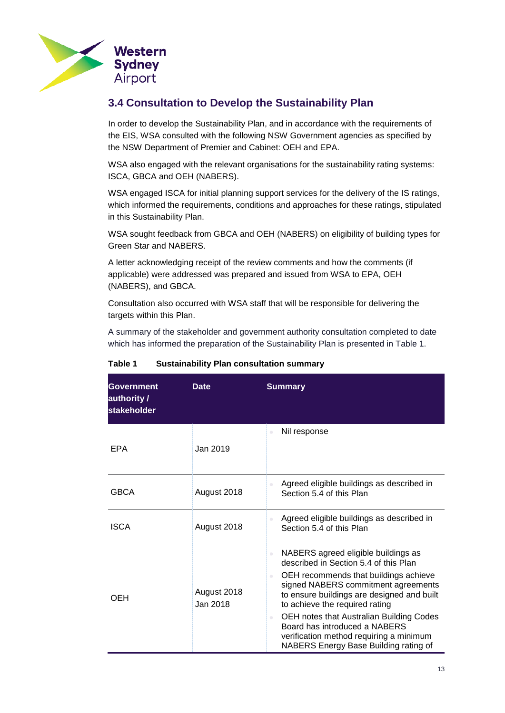

## <span id="page-12-0"></span>**3.4 Consultation to Develop the Sustainability Plan**

In order to develop the Sustainability Plan, and in accordance with the requirements of the EIS, WSA consulted with the following NSW Government agencies as specified by the NSW Department of Premier and Cabinet: OEH and EPA.

WSA also engaged with the relevant organisations for the sustainability rating systems: ISCA, GBCA and OEH (NABERS).

WSA engaged ISCA for initial planning support services for the delivery of the IS ratings, which informed the requirements, conditions and approaches for these ratings, stipulated in this Sustainability Plan.

WSA sought feedback from GBCA and OEH (NABERS) on eligibility of building types for Green Star and NABERS.

A letter acknowledging receipt of the review comments and how the comments (if applicable) were addressed was prepared and issued from WSA to EPA, OEH (NABERS), and GBCA.

Consultation also occurred with WSA staff that will be responsible for delivering the targets within this Plan.

A summary of the stakeholder and government authority consultation completed to date which has informed the preparation of the Sustainability Plan is presented in [Table](#page-12-1) 1.

| Government<br>authority /<br>stakeholder | <b>Date</b>             | <b>Summary</b>                                                                                                                                                                                                                                                                                                                                                                                                                                                            |
|------------------------------------------|-------------------------|---------------------------------------------------------------------------------------------------------------------------------------------------------------------------------------------------------------------------------------------------------------------------------------------------------------------------------------------------------------------------------------------------------------------------------------------------------------------------|
| EPA                                      | Jan 2019                | Nil response<br>$\hskip 10pt \circ$                                                                                                                                                                                                                                                                                                                                                                                                                                       |
| <b>GBCA</b>                              | August 2018             | Agreed eligible buildings as described in<br>$\hskip 10pt \circ$<br>Section 5.4 of this Plan                                                                                                                                                                                                                                                                                                                                                                              |
| <b>ISCA</b>                              | August 2018             | Agreed eligible buildings as described in<br>Section 5.4 of this Plan                                                                                                                                                                                                                                                                                                                                                                                                     |
| OFH                                      | August 2018<br>Jan 2018 | NABERS agreed eligible buildings as<br>$\hskip 10pt \circ$<br>described in Section 5.4 of this Plan<br>OEH recommends that buildings achieve<br>$\bullet$<br>signed NABERS commitment agreements<br>to ensure buildings are designed and built<br>to achieve the required rating<br>OEH notes that Australian Building Codes<br>$\hskip 1.5cm \circ$<br>Board has introduced a NABERS<br>verification method requiring a minimum<br>NABERS Energy Base Building rating of |

<span id="page-12-1"></span>**Table 1 Sustainability Plan consultation summary**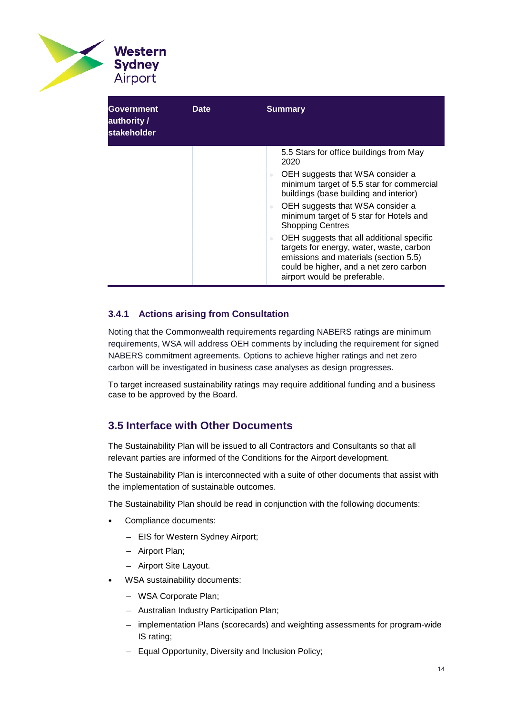

| Government<br>authority /<br>stakeholder | <b>Date</b> | <b>Summary</b>                                                                                                                                                                                                                     |
|------------------------------------------|-------------|------------------------------------------------------------------------------------------------------------------------------------------------------------------------------------------------------------------------------------|
|                                          |             | 5.5 Stars for office buildings from May<br>2020                                                                                                                                                                                    |
|                                          |             | OEH suggests that WSA consider a<br>$\hskip 1.0cm \circ$<br>minimum target of 5.5 star for commercial<br>buildings (base building and interior)                                                                                    |
|                                          |             | OEH suggests that WSA consider a<br>minimum target of 5 star for Hotels and<br><b>Shopping Centres</b>                                                                                                                             |
|                                          |             | OEH suggests that all additional specific<br>$\qquad \qquad \oplus$<br>targets for energy, water, waste, carbon<br>emissions and materials (section 5.5)<br>could be higher, and a net zero carbon<br>airport would be preferable. |

## **3.4.1 Actions arising from Consultation**

Noting that the Commonwealth requirements regarding NABERS ratings are minimum requirements, WSA will address OEH comments by including the requirement for signed NABERS commitment agreements. Options to achieve higher ratings and net zero carbon will be investigated in business case analyses as design progresses.

To target increased sustainability ratings may require additional funding and a business case to be approved by the Board.

## <span id="page-13-0"></span>**3.5 Interface with Other Documents**

The Sustainability Plan will be issued to all Contractors and Consultants so that all relevant parties are informed of the Conditions for the Airport development.

The Sustainability Plan is interconnected with a suite of other documents that assist with the implementation of sustainable outcomes.

The Sustainability Plan should be read in conjunction with the following documents:

- Compliance documents:
	- EIS for Western Sydney Airport;
	- Airport Plan;
	- Airport Site Layout.
- WSA sustainability documents:
	- WSA Corporate Plan;
	- Australian Industry Participation Plan;
	- implementation Plans (scorecards) and weighting assessments for program-wide IS rating;
	- Equal Opportunity, Diversity and Inclusion Policy;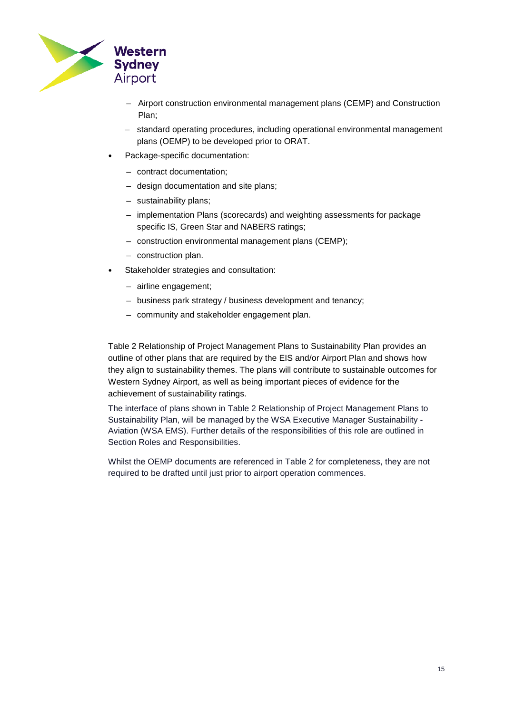

- Airport construction environmental management plans (CEMP) and Construction Plan;
- standard operating procedures, including operational environmental management plans (OEMP) to be developed prior to ORAT.
- Package-specific documentation:
	- contract documentation;
	- design documentation and site plans;
	- sustainability plans;
	- implementation Plans (scorecards) and weighting assessments for package specific IS, Green Star and NABERS ratings;
	- construction environmental management plans (CEMP);
	- construction plan.
- Stakeholder strategies and consultation:
	- airline engagement;
	- business park strategy / business development and tenancy;
	- community and stakeholder engagement plan.

Table 2 [Relationship of Project Management Plans to Sustainability Plan](#page-15-0) provides an outline of other plans that are required by the EIS and/or Airport Plan and shows how they align to sustainability themes. The plans will contribute to sustainable outcomes for Western Sydney Airport, as well as being important pieces of evidence for the achievement of sustainability ratings.

The interface of plans shown in Table 2 [Relationship of Project Management Plans to](#page-15-0)  [Sustainability Plan,](#page-15-0) will be managed by the WSA Executive Manager Sustainability - Aviation (WSA EMS). Further details of the responsibilities of this role are outlined in Section [Roles and Responsibilities.](#page-39-0)

Whilst the OEMP documents are referenced in Table 2 for completeness, they are not required to be drafted until just prior to airport operation commences.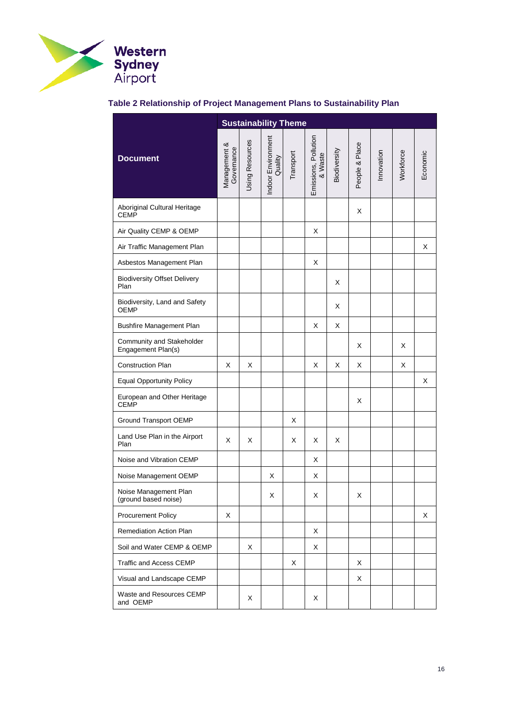

## <span id="page-15-0"></span>**Table 2 Relationship of Project Management Plans to Sustainability Plan**

<span id="page-15-2"></span><span id="page-15-1"></span>

|                                                 |                            |                 | <b>Sustainability Theme</b>   |           |                                 |              |                |            |           |          |
|-------------------------------------------------|----------------------------|-----------------|-------------------------------|-----------|---------------------------------|--------------|----------------|------------|-----------|----------|
| <b>Document</b>                                 | Management &<br>Governance | Using Resources | Indoor Environment<br>Quality | Transport | Emissions, Pollution<br>& Waste | Biodiversity | People & Place | Innovation | Workforce | Economic |
| Aboriginal Cultural Heritage<br><b>CEMP</b>     |                            |                 |                               |           |                                 |              | X              |            |           |          |
| Air Quality CEMP & OEMP                         |                            |                 |                               |           | Χ                               |              |                |            |           |          |
| Air Traffic Management Plan                     |                            |                 |                               |           |                                 |              |                |            |           | X        |
| Asbestos Management Plan                        |                            |                 |                               |           | Χ                               |              |                |            |           |          |
| <b>Biodiversity Offset Delivery</b><br>Plan     |                            |                 |                               |           |                                 | X            |                |            |           |          |
| Biodiversity, Land and Safety<br><b>OEMP</b>    |                            |                 |                               |           |                                 | X            |                |            |           |          |
| <b>Bushfire Management Plan</b>                 |                            |                 |                               |           | X                               | X            |                |            |           |          |
| Community and Stakeholder<br>Engagement Plan(s) |                            |                 |                               |           |                                 |              | X              |            | X         |          |
| Construction Plan                               | X                          | Х               |                               |           | Χ                               | X            | X              |            | X         |          |
| <b>Equal Opportunity Policy</b>                 |                            |                 |                               |           |                                 |              |                |            |           | X        |
| European and Other Heritage<br><b>CEMP</b>      |                            |                 |                               |           |                                 |              | X              |            |           |          |
| <b>Ground Transport OEMP</b>                    |                            |                 |                               | X         |                                 |              |                |            |           |          |
| Land Use Plan in the Airport<br>Plan            | X                          | X               |                               | X         | X                               | X            |                |            |           |          |
| Noise and Vibration CEMP                        |                            |                 |                               |           | X                               |              |                |            |           |          |
| Noise Management OEMP                           |                            |                 | х                             |           | Χ                               |              |                |            |           |          |
| Noise Management Plan<br>(ground based noise)   |                            |                 | х                             |           | Χ                               |              | х              |            |           |          |
| <b>Procurement Policy</b>                       | X                          |                 |                               |           |                                 |              |                |            |           | X        |
| Remediation Action Plan                         |                            |                 |                               |           | Χ                               |              |                |            |           |          |
| Soil and Water CEMP & OEMP                      |                            | Х               |                               |           | Χ                               |              |                |            |           |          |
| Traffic and Access CEMP                         |                            |                 |                               | X         |                                 |              | X              |            |           |          |
| Visual and Landscape CEMP                       |                            |                 |                               |           |                                 |              | X              |            |           |          |
| Waste and Resources CEMP<br>and OEMP            |                            | X               |                               |           | Χ                               |              |                |            |           |          |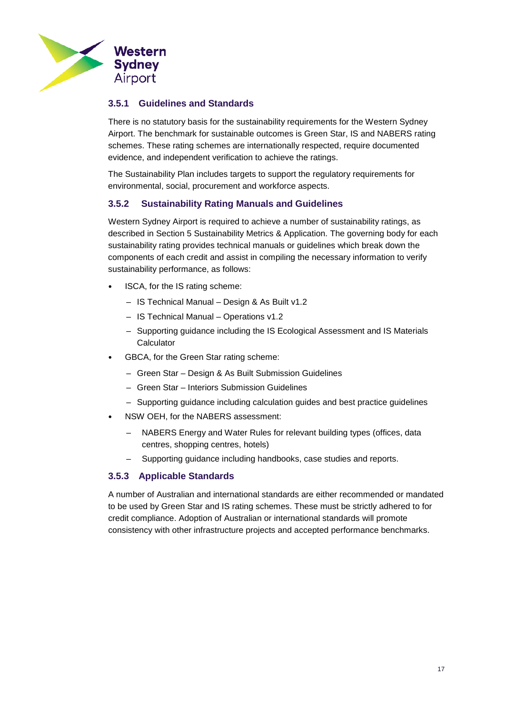

## **3.5.1 Guidelines and Standards**

There is no statutory basis for the sustainability requirements for the Western Sydney Airport. The benchmark for sustainable outcomes is Green Star, IS and NABERS rating schemes. These rating schemes are internationally respected, require documented evidence, and independent verification to achieve the ratings.

The Sustainability Plan includes targets to support the regulatory requirements for environmental, social, procurement and workforce aspects.

### <span id="page-16-0"></span>**3.5.2 Sustainability Rating Manuals and Guidelines**

Western Sydney Airport is required to achieve a number of sustainability ratings, as described in Section 5 [Sustainability Metrics & Application.](#page-26-0) The governing body for each sustainability rating provides technical manuals or guidelines which break down the components of each credit and assist in compiling the necessary information to verify sustainability performance, as follows:

- ISCA, for the IS rating scheme:
	- IS Technical Manual Design & As Built v1.2
	- IS Technical Manual Operations v1.2
	- Supporting guidance including the IS Ecological Assessment and IS Materials **Calculator**
- GBCA, for the Green Star rating scheme:
	- Green Star Design & As Built Submission Guidelines
	- Green Star Interiors Submission Guidelines
	- Supporting guidance including calculation guides and best practice guidelines
- NSW OEH, for the NABERS assessment:
	- NABERS Energy and Water Rules for relevant building types (offices, data centres, shopping centres, hotels)
	- Supporting guidance including handbooks, case studies and reports.

### **3.5.3 Applicable Standards**

A number of Australian and international standards are either recommended or mandated to be used by Green Star and IS rating schemes. These must be strictly adhered to for credit compliance. Adoption of Australian or international standards will promote consistency with other infrastructure projects and accepted performance benchmarks.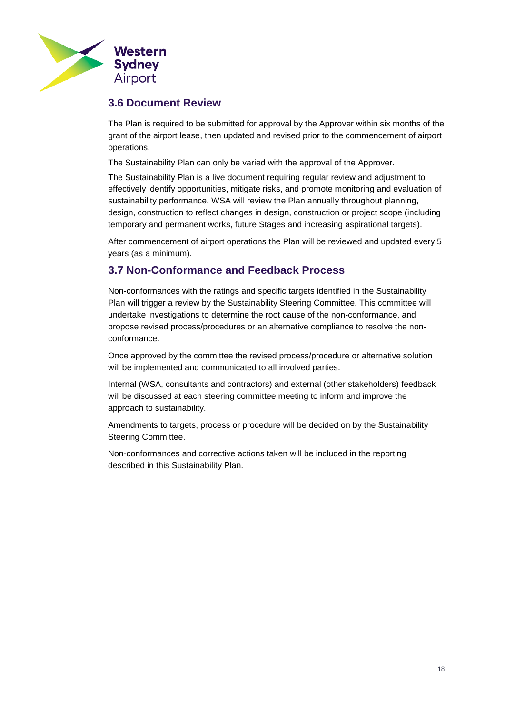

## <span id="page-17-0"></span>**3.6 Document Review**

The Plan is required to be submitted for approval by the Approver within six months of the grant of the airport lease, then updated and revised prior to the commencement of airport operations.

The Sustainability Plan can only be varied with the approval of the Approver.

The Sustainability Plan is a live document requiring regular review and adjustment to effectively identify opportunities, mitigate risks, and promote monitoring and evaluation of sustainability performance. WSA will review the Plan annually throughout planning, design, construction to reflect changes in design, construction or project scope (including temporary and permanent works, future Stages and increasing aspirational targets).

After commencement of airport operations the Plan will be reviewed and updated every 5 years (as a minimum).

## <span id="page-17-1"></span>**3.7 Non-Conformance and Feedback Process**

Non-conformances with the ratings and specific targets identified in the Sustainability Plan will trigger a review by the Sustainability Steering Committee. This committee will undertake investigations to determine the root cause of the non-conformance, and propose revised process/procedures or an alternative compliance to resolve the nonconformance.

Once approved by the committee the revised process/procedure or alternative solution will be implemented and communicated to all involved parties.

Internal (WSA, consultants and contractors) and external (other stakeholders) feedback will be discussed at each steering committee meeting to inform and improve the approach to sustainability.

Amendments to targets, process or procedure will be decided on by the Sustainability Steering Committee.

Non-conformances and corrective actions taken will be included in the reporting described in this Sustainability Plan.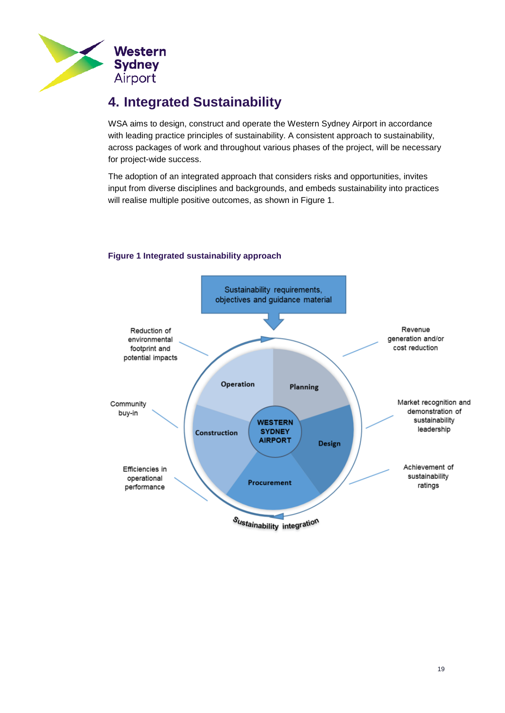

# <span id="page-18-0"></span>**4. Integrated Sustainability**

WSA aims to design, construct and operate the Western Sydney Airport in accordance with leading practice principles of sustainability. A consistent approach to sustainability, across packages of work and throughout various phases of the project, will be necessary for project-wide success.

The adoption of an integrated approach that considers risks and opportunities, invites input from diverse disciplines and backgrounds, and embeds sustainability into practices will realise multiple positive outcomes, as shown in Figure 1.

### <span id="page-18-1"></span>**Figure 1 Integrated sustainability approach**

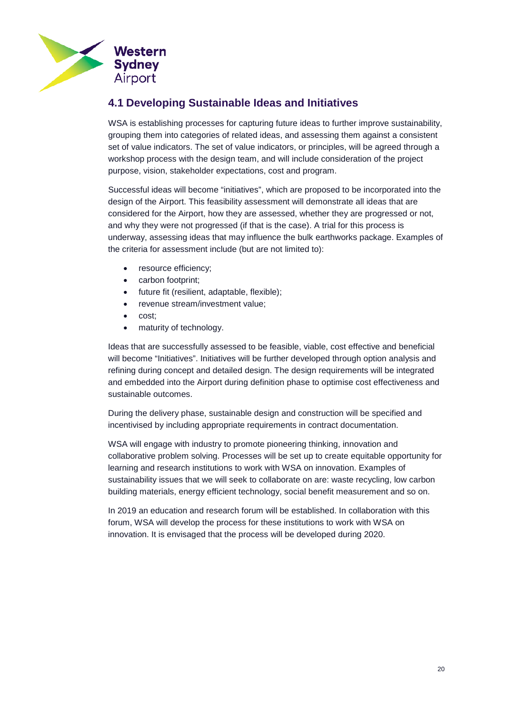

## <span id="page-19-0"></span>**4.1 Developing Sustainable Ideas and Initiatives**

WSA is establishing processes for capturing future ideas to further improve sustainability, grouping them into categories of related ideas, and assessing them against a consistent set of value indicators. The set of value indicators, or principles, will be agreed through a workshop process with the design team, and will include consideration of the project purpose, vision, stakeholder expectations, cost and program.

Successful ideas will become "initiatives", which are proposed to be incorporated into the design of the Airport. This feasibility assessment will demonstrate all ideas that are considered for the Airport, how they are assessed, whether they are progressed or not, and why they were not progressed (if that is the case). A trial for this process is underway, assessing ideas that may influence the bulk earthworks package. Examples of the criteria for assessment include (but are not limited to):

- resource efficiency;
- carbon footprint;
- future fit (resilient, adaptable, flexible);
- revenue stream/investment value;
- cost;
- maturity of technology.

Ideas that are successfully assessed to be feasible, viable, cost effective and beneficial will become "Initiatives". Initiatives will be further developed through option analysis and refining during concept and detailed design. The design requirements will be integrated and embedded into the Airport during definition phase to optimise cost effectiveness and sustainable outcomes.

During the delivery phase, sustainable design and construction will be specified and incentivised by including appropriate requirements in contract documentation.

WSA will engage with industry to promote pioneering thinking, innovation and collaborative problem solving. Processes will be set up to create equitable opportunity for learning and research institutions to work with WSA on innovation. Examples of sustainability issues that we will seek to collaborate on are: waste recycling, low carbon building materials, energy efficient technology, social benefit measurement and so on.

In 2019 an education and research forum will be established. In collaboration with this forum, WSA will develop the process for these institutions to work with WSA on innovation. It is envisaged that the process will be developed during 2020.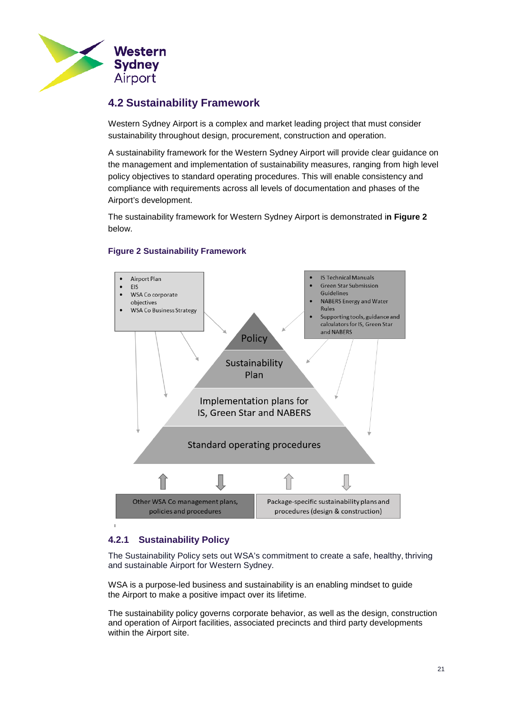

## <span id="page-20-0"></span>**4.2 Sustainability Framework**

Western Sydney Airport is a complex and market leading project that must consider sustainability throughout design, procurement, construction and operation.

A sustainability framework for the Western Sydney Airport will provide clear guidance on the management and implementation of sustainability measures, ranging from high level policy objectives to standard operating procedures. This will enable consistency and compliance with requirements across all levels of documentation and phases of the Airport's development.

The sustainability framework for Western Sydney Airport is demonstrated i**n Figure 2** below.



### <span id="page-20-1"></span>**Figure 2 Sustainability Framework**

## <span id="page-20-2"></span>**4.2.1 Sustainability Policy**

The Sustainability Policy sets out WSA's commitment to create a safe, healthy, thriving and sustainable Airport for Western Sydney.

WSA is a purpose-led business and sustainability is an enabling mindset to guide the Airport to make a positive impact over its lifetime.

The sustainability policy governs corporate behavior, as well as the design, construction and operation of Airport facilities, associated precincts and third party developments within the Airport site.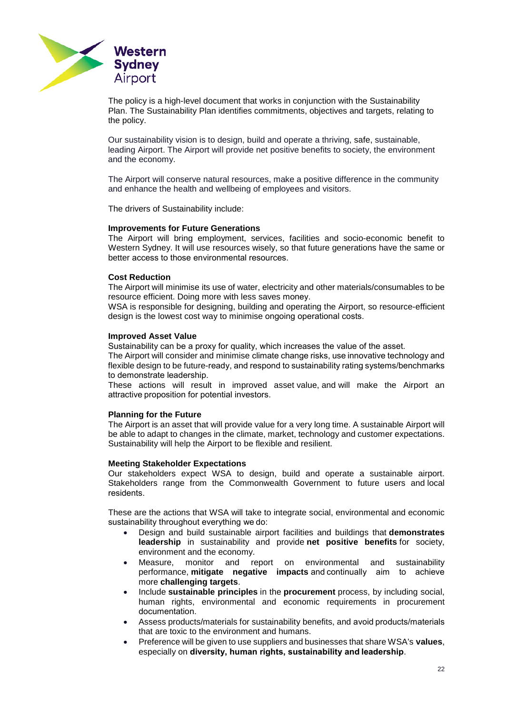

The policy is a high-level document that works in conjunction with the Sustainability Plan. The Sustainability Plan identifies commitments, objectives and targets, relating to the policy.

Our sustainability vision is to design, build and operate a thriving, safe, sustainable, leading Airport. The Airport will provide net positive benefits to society, the environment and the economy.

The Airport will conserve natural resources, make a positive difference in the community and enhance the health and wellbeing of employees and visitors.

The drivers of Sustainability include:

#### **Improvements for Future Generations**

The Airport will bring employment, services, facilities and socio-economic benefit to Western Sydney. It will use resources wisely, so that future generations have the same or better access to those environmental resources. 

#### **Cost Reduction**

The Airport will minimise its use of water, electricity and other materials/consumables to be resource efficient. Doing more with less saves money. 

WSA is responsible for designing, building and operating the Airport, so resource-efficient design is the lowest cost way to minimise ongoing operational costs. 

#### **Improved Asset Value**

Sustainability can be a proxy for quality, which increases the value of the asset. 

The Airport will consider and minimise climate change risks, use innovative technology and flexible design to be future-ready, and respond to sustainability rating systems/benchmarks to demonstrate leadership. 

These actions will result in improved asset value, and will make the Airport an attractive proposition for potential investors. 

#### **Planning for the Future**

The Airport is an asset that will provide value for a very long time. A sustainable Airport will be able to adapt to changes in the climate, market, technology and customer expectations. Sustainability will help the Airport to be flexible and resilient.

#### **Meeting Stakeholder Expectations**

Our stakeholders expect WSA to design, build and operate a sustainable airport. Stakeholders range from the Commonwealth Government to future users and local residents. 

These are the actions that WSA will take to integrate social, environmental and economic sustainability throughout everything we do:

- Design and build sustainable airport facilities and buildings that **demonstrates leadership** in sustainability and provide **net positive benefits** for society, environment and the economy.
- Measure, monitor and report on environmental and sustainability performance, **mitigate negative impacts** and continually aim to achieve more **challenging targets**.
- Include **sustainable principles** in the **procurement** process, by including social, human rights, environmental and economic requirements in procurement documentation.
- Assess products/materials for sustainability benefits, and avoid products/materials that are toxic to the environment and humans.
- Preference will be given to use suppliers and businesses that share WSA's **values**, especially on **diversity, human rights, sustainability and leadership**.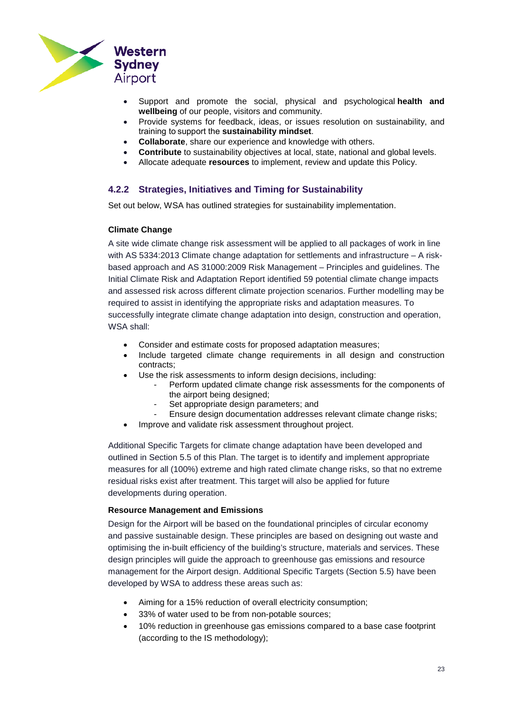

- Support and promote the social, physical and psychological **health and wellbeing** of our people, visitors and community.
- Provide systems for feedback, ideas, or issues resolution on sustainability, and training to support the **sustainability mindset**.
- **Collaborate**, share our experience and knowledge with others.
- **Contribute** to sustainability objectives at local, state, national and global levels.
- Allocate adequate **resources** to implement, review and update this Policy.

#### <span id="page-22-0"></span>**4.2.2 Strategies, Initiatives and Timing for Sustainability**

Set out below, WSA has outlined strategies for sustainability implementation.

#### **Climate Change**

A site wide climate change risk assessment will be applied to all packages of work in line with AS 5334:2013 Climate change adaptation for settlements and infrastructure – A riskbased approach and AS 31000:2009 Risk Management – Principles and guidelines. The Initial Climate Risk and Adaptation Report identified 59 potential climate change impacts and assessed risk across different climate projection scenarios. Further modelling may be required to assist in identifying the appropriate risks and adaptation measures. To successfully integrate climate change adaptation into design, construction and operation, WSA shall:

- Consider and estimate costs for proposed adaptation measures;
- Include targeted climate change requirements in all design and construction contracts;
- Use the risk assessments to inform design decisions, including:
	- Perform updated climate change risk assessments for the components of the airport being designed;
	- Set appropriate design parameters; and
	- Ensure design documentation addresses relevant climate change risks;
	- Improve and validate risk assessment throughout project.

Additional Specific Targets for climate change adaptation have been developed and outlined in Section 5.5 of this Plan. The target is to identify and implement appropriate measures for all (100%) extreme and high rated climate change risks, so that no extreme residual risks exist after treatment. This target will also be applied for future developments during operation.

#### **Resource Management and Emissions**

Design for the Airport will be based on the foundational principles of circular economy and passive sustainable design. These principles are based on designing out waste and optimising the in-built efficiency of the building's structure, materials and services. These design principles will guide the approach to greenhouse gas emissions and resource management for the Airport design. Additional Specific Targets (Section 5.5) have been developed by WSA to address these areas such as:

- Aiming for a 15% reduction of overall electricity consumption;
- 33% of water used to be from non-potable sources;
- 10% reduction in greenhouse gas emissions compared to a base case footprint (according to the IS methodology);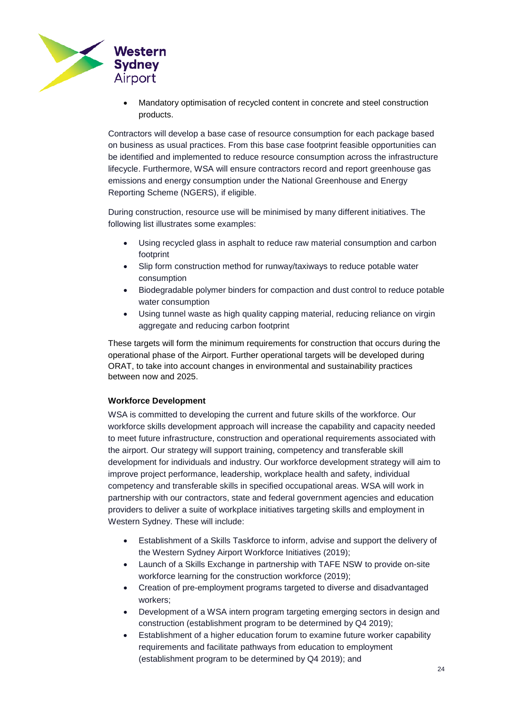

• Mandatory optimisation of recycled content in concrete and steel construction products.

Contractors will develop a base case of resource consumption for each package based on business as usual practices. From this base case footprint feasible opportunities can be identified and implemented to reduce resource consumption across the infrastructure lifecycle. Furthermore, WSA will ensure contractors record and report greenhouse gas emissions and energy consumption under the National Greenhouse and Energy Reporting Scheme (NGERS), if eligible.

During construction, resource use will be minimised by many different initiatives. The following list illustrates some examples:

- Using recycled glass in asphalt to reduce raw material consumption and carbon footprint
- Slip form construction method for runway/taxiways to reduce potable water consumption
- Biodegradable polymer binders for compaction and dust control to reduce potable water consumption
- Using tunnel waste as high quality capping material, reducing reliance on virgin aggregate and reducing carbon footprint

These targets will form the minimum requirements for construction that occurs during the operational phase of the Airport. Further operational targets will be developed during ORAT, to take into account changes in environmental and sustainability practices between now and 2025.

#### **Workforce Development**

WSA is committed to developing the current and future skills of the workforce. Our workforce skills development approach will increase the capability and capacity needed to meet future infrastructure, construction and operational requirements associated with the airport. Our strategy will support training, competency and transferable skill development for individuals and industry. Our workforce development strategy will aim to improve project performance, leadership, workplace health and safety, individual competency and transferable skills in specified occupational areas. WSA will work in partnership with our contractors, state and federal government agencies and education providers to deliver a suite of workplace initiatives targeting skills and employment in Western Sydney. These will include:

- Establishment of a Skills Taskforce to inform, advise and support the delivery of the Western Sydney Airport Workforce Initiatives (2019);
- Launch of a Skills Exchange in partnership with TAFE NSW to provide on-site workforce learning for the construction workforce (2019);
- Creation of pre-employment programs targeted to diverse and disadvantaged workers;
- Development of a WSA intern program targeting emerging sectors in design and construction (establishment program to be determined by Q4 2019);
- Establishment of a higher education forum to examine future worker capability requirements and facilitate pathways from education to employment (establishment program to be determined by Q4 2019); and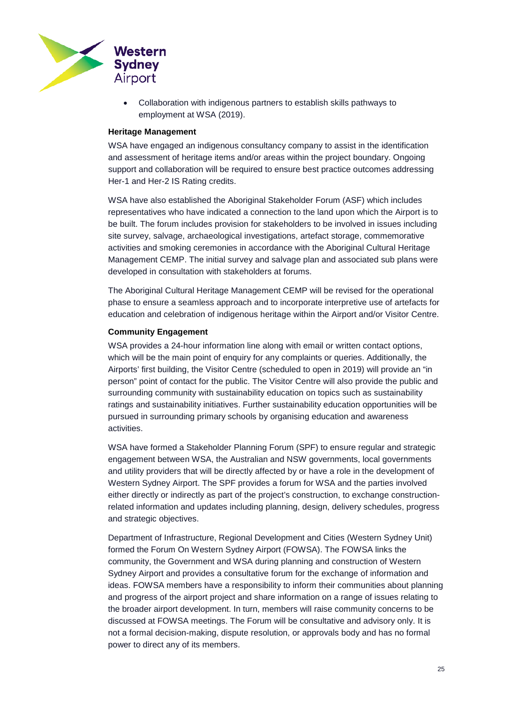

• Collaboration with indigenous partners to establish skills pathways to employment at WSA (2019).

#### **Heritage Management**

WSA have engaged an indigenous consultancy company to assist in the identification and assessment of heritage items and/or areas within the project boundary. Ongoing support and collaboration will be required to ensure best practice outcomes addressing Her-1 and Her-2 IS Rating credits.

WSA have also established the Aboriginal Stakeholder Forum (ASF) which includes representatives who have indicated a connection to the land upon which the Airport is to be built. The forum includes provision for stakeholders to be involved in issues including site survey, salvage, archaeological investigations, artefact storage, commemorative activities and smoking ceremonies in accordance with the Aboriginal Cultural Heritage Management CEMP. The initial survey and salvage plan and associated sub plans were developed in consultation with stakeholders at forums.

The Aboriginal Cultural Heritage Management CEMP will be revised for the operational phase to ensure a seamless approach and to incorporate interpretive use of artefacts for education and celebration of indigenous heritage within the Airport and/or Visitor Centre.

#### **Community Engagement**

WSA provides a 24-hour information line along with email or written contact options, which will be the main point of enquiry for any complaints or queries. Additionally, the Airports' first building, the Visitor Centre (scheduled to open in 2019) will provide an "in person" point of contact for the public. The Visitor Centre will also provide the public and surrounding community with sustainability education on topics such as sustainability ratings and sustainability initiatives. Further sustainability education opportunities will be pursued in surrounding primary schools by organising education and awareness activities.

WSA have formed a Stakeholder Planning Forum (SPF) to ensure regular and strategic engagement between WSA, the Australian and NSW governments, local governments and utility providers that will be directly affected by or have a role in the development of Western Sydney Airport. The SPF provides a forum for WSA and the parties involved either directly or indirectly as part of the project's construction, to exchange constructionrelated information and updates including planning, design, delivery schedules, progress and strategic objectives.

Department of Infrastructure, Regional Development and Cities (Western Sydney Unit) formed the Forum On Western Sydney Airport (FOWSA). The FOWSA links the community, the Government and WSA during planning and construction of Western Sydney Airport and provides a consultative forum for the exchange of information and ideas. FOWSA members have a responsibility to inform their communities about planning and progress of the airport project and share information on a range of issues relating to the broader airport development. In turn, members will raise community concerns to be discussed at FOWSA meetings. The Forum will be consultative and advisory only. It is not a formal decision-making, dispute resolution, or approvals body and has no formal power to direct any of its members.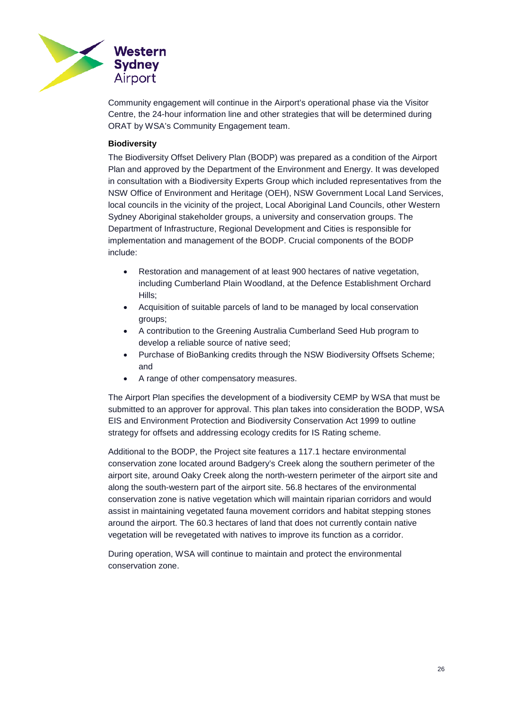

Community engagement will continue in the Airport's operational phase via the Visitor Centre, the 24-hour information line and other strategies that will be determined during ORAT by WSA's Community Engagement team.

#### **Biodiversity**

The Biodiversity Offset Delivery Plan (BODP) was prepared as a condition of the Airport Plan and approved by the Department of the Environment and Energy. It was developed in consultation with a Biodiversity Experts Group which included representatives from the NSW Office of Environment and Heritage (OEH), NSW Government Local Land Services, local councils in the vicinity of the project, Local Aboriginal Land Councils, other Western Sydney Aboriginal stakeholder groups, a university and conservation groups. The Department of Infrastructure, Regional Development and Cities is responsible for implementation and management of the BODP. Crucial components of the BODP include:

- Restoration and management of at least 900 hectares of native vegetation, including Cumberland Plain Woodland, at the Defence Establishment Orchard Hills;
- Acquisition of suitable parcels of land to be managed by local conservation groups;
- A contribution to the Greening Australia Cumberland Seed Hub program to develop a reliable source of native seed;
- Purchase of BioBanking credits through the NSW Biodiversity Offsets Scheme; and
- A range of other compensatory measures.

The Airport Plan specifies the development of a biodiversity CEMP by WSA that must be submitted to an approver for approval. This plan takes into consideration the BODP, WSA EIS and Environment Protection and Biodiversity Conservation Act 1999 to outline strategy for offsets and addressing ecology credits for IS Rating scheme.

Additional to the BODP, the Project site features a 117.1 hectare environmental conservation zone located around Badgery's Creek along the southern perimeter of the airport site, around Oaky Creek along the north-western perimeter of the airport site and along the south-western part of the airport site. 56.8 hectares of the environmental conservation zone is native vegetation which will maintain riparian corridors and would assist in maintaining vegetated fauna movement corridors and habitat stepping stones around the airport. The 60.3 hectares of land that does not currently contain native vegetation will be revegetated with natives to improve its function as a corridor.

During operation, WSA will continue to maintain and protect the environmental conservation zone.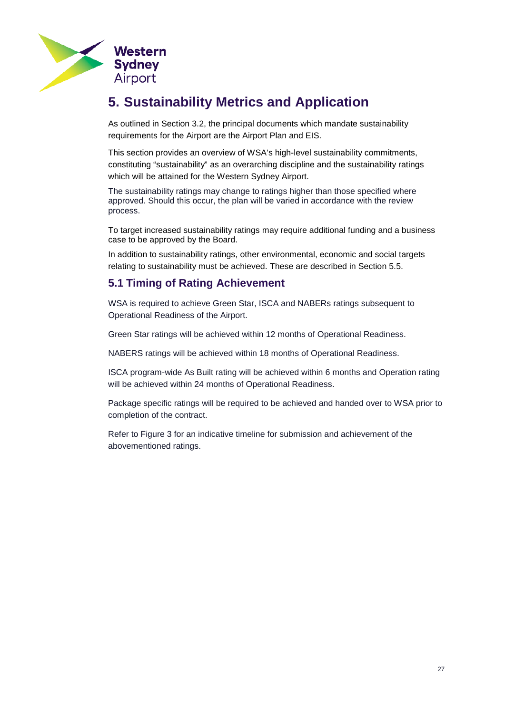

# <span id="page-26-2"></span><span id="page-26-0"></span>**5. Sustainability Metrics and Application**

As outlined in Section [3.2,](#page-8-0) the principal documents which mandate sustainability requirements for the Airport are the Airport Plan and EIS.

This section provides an overview of WSA's high-level sustainability commitments, constituting "sustainability" as an overarching discipline and the sustainability ratings which will be attained for the Western Sydney Airport.

The sustainability ratings may change to ratings higher than those specified where approved. Should this occur, the plan will be varied in accordance with the review process.

To target increased sustainability ratings may require additional funding and a business case to be approved by the Board.

In addition to sustainability ratings, other environmental, economic and social targets relating to sustainability must be achieved. These are described in Section [5.5.](#page-33-0)

## <span id="page-26-1"></span>**5.1 Timing of Rating Achievement**

WSA is required to achieve Green Star, ISCA and NABERs ratings subsequent to Operational Readiness of the Airport.

Green Star ratings will be achieved within 12 months of Operational Readiness.

NABERS ratings will be achieved within 18 months of Operational Readiness.

ISCA program-wide As Built rating will be achieved within 6 months and Operation rating will be achieved within 24 months of Operational Readiness.

Package specific ratings will be required to be achieved and handed over to WSA prior to completion of the contract.

Refer to Figure 3 for an indicative timeline for submission and achievement of the abovementioned ratings.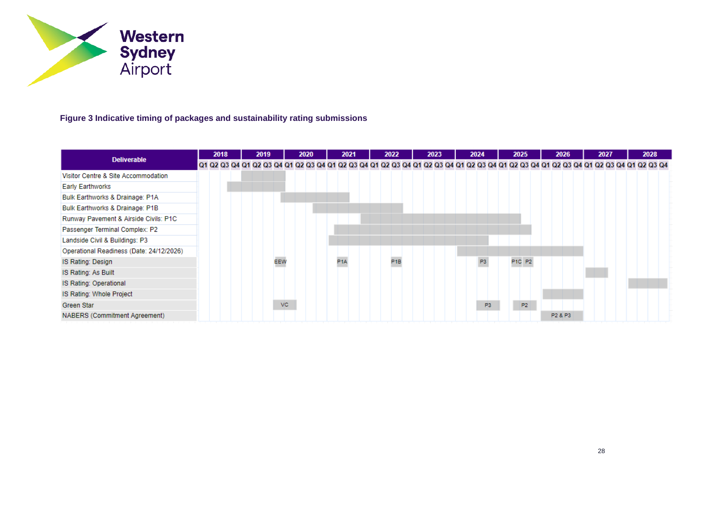

## **Figure 3 Indicative timing of packages and sustainability rating submissions**

<span id="page-27-0"></span>

| <b>Deliverable</b>                       |  | 2018 |  | 2019 |     |     | 2020 |  |     | 2021 |  | 2022            |  | 2023 |  | 2024 |                |  | 2025   |                |  |         | 2026 |  | 2027 |  |  | 2028 |                                                                                                                                                                         |
|------------------------------------------|--|------|--|------|-----|-----|------|--|-----|------|--|-----------------|--|------|--|------|----------------|--|--------|----------------|--|---------|------|--|------|--|--|------|-------------------------------------------------------------------------------------------------------------------------------------------------------------------------|
|                                          |  |      |  |      |     |     |      |  |     |      |  |                 |  |      |  |      |                |  |        |                |  |         |      |  |      |  |  |      | Q1 Q2 Q3 Q4 Q1 Q2 Q3 Q4 Q1 Q2 Q3 Q4 Q1 Q2 Q3 Q4 Q1 Q2 Q3 Q4 Q1 Q2 Q3 Q4 Q1 Q2 Q3 Q4 Q1 Q2 Q3 Q4 Q1 Q2 Q3 Q4 Q1 Q2 Q3 Q4 Q1 Q2 Q3 Q4 Q1 Q2 Q3 Q4 Q1 Q2 Q3 Q4 Q1 Q2 Q3 Q4 |
| Visitor Centre & Site Accommodation      |  |      |  |      |     |     |      |  |     |      |  |                 |  |      |  |      |                |  |        |                |  |         |      |  |      |  |  |      |                                                                                                                                                                         |
| <b>Early Earthworks</b>                  |  |      |  |      |     |     |      |  |     |      |  |                 |  |      |  |      |                |  |        |                |  |         |      |  |      |  |  |      |                                                                                                                                                                         |
| Bulk Earthworks & Drainage: P1A          |  |      |  |      |     |     |      |  |     |      |  |                 |  |      |  |      |                |  |        |                |  |         |      |  |      |  |  |      |                                                                                                                                                                         |
| Bulk Earthworks & Drainage: P1B          |  |      |  |      |     |     |      |  |     |      |  |                 |  |      |  |      |                |  |        |                |  |         |      |  |      |  |  |      |                                                                                                                                                                         |
| Runway Pavement & Airside Civils: P1C    |  |      |  |      |     |     |      |  |     |      |  |                 |  |      |  |      |                |  |        |                |  |         |      |  |      |  |  |      |                                                                                                                                                                         |
| Passenger Terminal Complex: P2           |  |      |  |      |     |     |      |  |     |      |  |                 |  |      |  |      |                |  |        |                |  |         |      |  |      |  |  |      |                                                                                                                                                                         |
| Landside Civil & Buildings: P3           |  |      |  |      |     |     |      |  |     |      |  |                 |  |      |  |      |                |  |        |                |  |         |      |  |      |  |  |      |                                                                                                                                                                         |
| Operational Readiness (Date: 24/12/2026) |  |      |  |      |     |     |      |  |     |      |  |                 |  |      |  |      |                |  |        |                |  |         |      |  |      |  |  |      |                                                                                                                                                                         |
| IS Rating: Design                        |  |      |  |      | EEW |     |      |  | P1A |      |  | P <sub>1B</sub> |  |      |  |      | P <sub>3</sub> |  | P1C P2 |                |  |         |      |  |      |  |  |      |                                                                                                                                                                         |
| IS Rating: As Built                      |  |      |  |      |     |     |      |  |     |      |  |                 |  |      |  |      |                |  |        |                |  |         |      |  |      |  |  |      |                                                                                                                                                                         |
| IS Rating: Operational                   |  |      |  |      |     |     |      |  |     |      |  |                 |  |      |  |      |                |  |        |                |  |         |      |  |      |  |  |      |                                                                                                                                                                         |
| IS Rating: Whole Project                 |  |      |  |      |     |     |      |  |     |      |  |                 |  |      |  |      |                |  |        |                |  |         |      |  |      |  |  |      |                                                                                                                                                                         |
| Green Star                               |  |      |  |      |     | VC. |      |  |     |      |  |                 |  |      |  |      | P3             |  |        | P <sub>2</sub> |  |         |      |  |      |  |  |      |                                                                                                                                                                         |
| NABERS (Commitment Agreement)            |  |      |  |      |     |     |      |  |     |      |  |                 |  |      |  |      |                |  |        |                |  | P2 & P3 |      |  |      |  |  |      |                                                                                                                                                                         |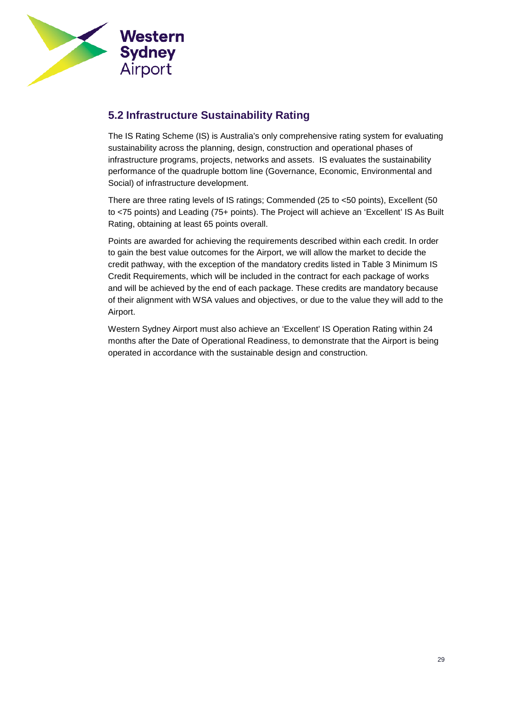

## <span id="page-28-0"></span>**5.2 Infrastructure Sustainability Rating**

The IS Rating Scheme (IS) is Australia's only comprehensive rating system for evaluating sustainability across the planning, design, construction and operational phases of infrastructure programs, projects, networks and assets. IS evaluates the sustainability performance of the quadruple bottom line (Governance, Economic, Environmental and Social) of infrastructure development.

There are three rating levels of IS ratings; Commended (25 to <50 points), Excellent (50 to <75 points) and Leading (75+ points). The Project will achieve an 'Excellent' IS As Built Rating, obtaining at least 65 points overall.

Points are awarded for achieving the requirements described within each credit. In order to gain the best value outcomes for the Airport, we will allow the market to decide the credit pathway, with the exception of the mandatory credits listed in Table 3 [Minimum IS](#page-29-1)  [Credit Requirements,](#page-29-1) which will be included in the contract for each package of works and will be achieved by the end of each package. These credits are mandatory because of their alignment with WSA values and objectives, or due to the value they will add to the Airport.

Western Sydney Airport must also achieve an 'Excellent' IS Operation Rating within 24 months after the Date of Operational Readiness, to demonstrate that the Airport is being operated in accordance with the sustainable design and construction.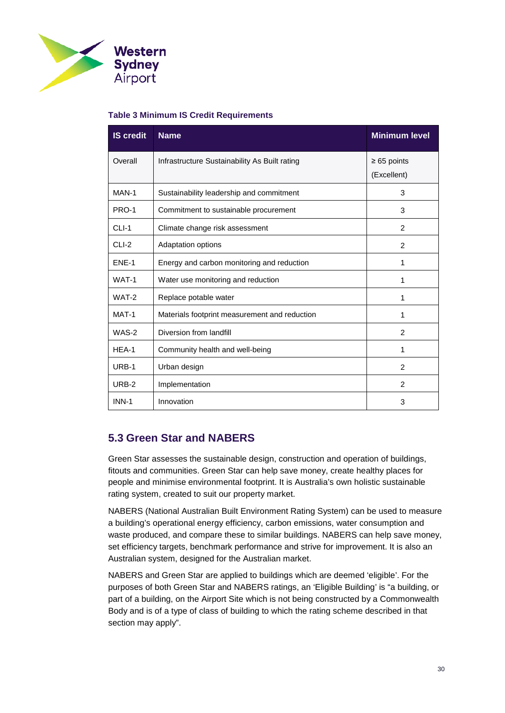

#### <span id="page-29-1"></span>**Table 3 Minimum IS Credit Requirements**

| <b>IS credit</b> | <b>Name</b>                                   | <b>Minimum level</b>            |
|------------------|-----------------------------------------------|---------------------------------|
| Overall          | Infrastructure Sustainability As Built rating | $\geq 65$ points<br>(Excellent) |
| MAN-1            | Sustainability leadership and commitment      | 3                               |
| <b>PRO-1</b>     | Commitment to sustainable procurement         | 3                               |
| $CLI-1$          | Climate change risk assessment                | $\mathfrak{p}$                  |
| CLI-2            | Adaptation options                            | 2                               |
| ENE-1            | Energy and carbon monitoring and reduction    | 1                               |
| WAT-1            | Water use monitoring and reduction            | 1                               |
| WAT-2            | Replace potable water                         | 1                               |
| MAT-1            | Materials footprint measurement and reduction | 1                               |
| WAS-2            | Diversion from landfill                       | 2                               |
| $HEA-1$          | Community health and well-being               | 1                               |
| URB-1            | Urban design                                  | 2                               |
| URB-2            | Implementation                                | 2                               |
| <b>INN-1</b>     | Innovation                                    | 3                               |

## <span id="page-29-0"></span>**5.3 Green Star and NABERS**

Green Star assesses the sustainable design, construction and operation of buildings, fitouts and communities. Green Star can help save money, create healthy places for people and minimise environmental footprint. It is Australia's own holistic sustainable rating system, created to suit our property market.

NABERS (National Australian Built Environment Rating System) can be used to measure a building's operational energy efficiency, carbon emissions, water consumption and waste produced, and compare these to similar buildings. NABERS can help save money, set efficiency targets, benchmark performance and strive for improvement. It is also an Australian system, designed for the Australian market.

NABERS and Green Star are applied to buildings which are deemed 'eligible'. For the purposes of both Green Star and NABERS ratings, an 'Eligible Building' is "a building, or part of a building, on the Airport Site which is not being constructed by a Commonwealth Body and is of a type of class of building to which the rating scheme described in that section may apply".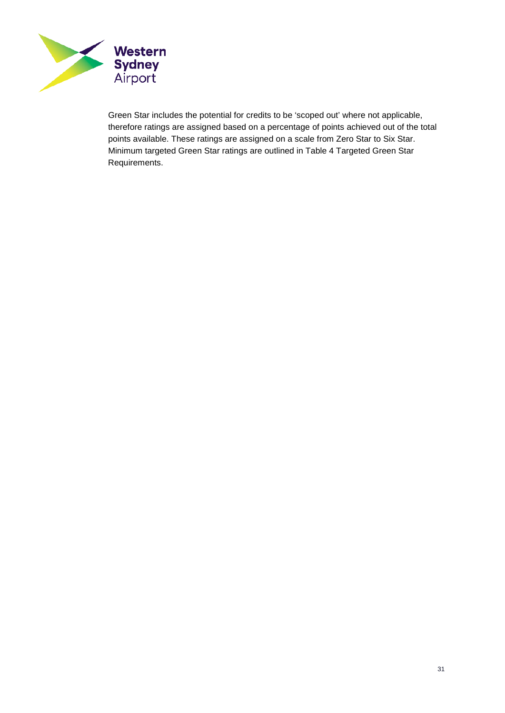

Green Star includes the potential for credits to be 'scoped out' where not applicable, therefore ratings are assigned based on a percentage of points achieved out of the total points available. These ratings are assigned on a scale from Zero Star to Six Star. Minimum targeted Green Star ratings are outlined in Table 4 [Targeted Green Star](#page-31-0)  [Requirements.](#page-31-0)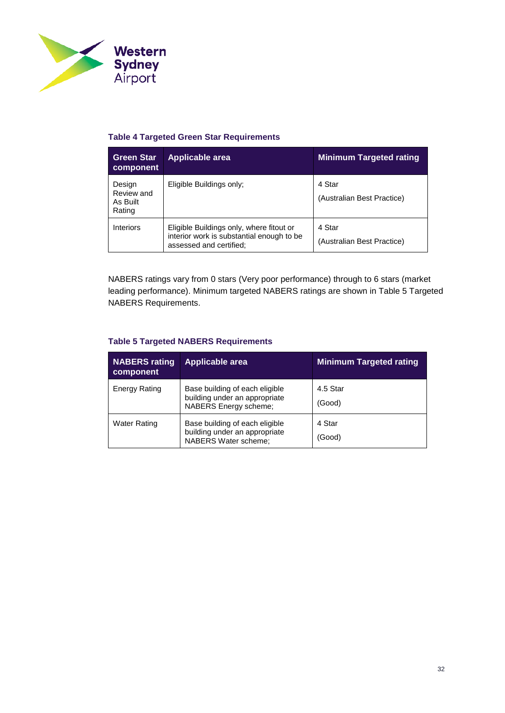

#### <span id="page-31-0"></span>**Table 4 Targeted Green Star Requirements**

| <b>Green Star</b><br>component             | Applicable area                                                                                                  | <b>Minimum Targeted rating</b>       |
|--------------------------------------------|------------------------------------------------------------------------------------------------------------------|--------------------------------------|
| Design<br>Review and<br>As Built<br>Rating | Eligible Buildings only;                                                                                         | 4 Star<br>(Australian Best Practice) |
| Interiors                                  | Eligible Buildings only, where fitout or<br>interior work is substantial enough to be<br>assessed and certified; | 4 Star<br>(Australian Best Practice) |

NABERS ratings vary from 0 stars (Very poor performance) through to 6 stars (market leading performance). Minimum targeted NABERS ratings are shown in Table 5 [Targeted](#page-31-1)  [NABERS Requirements.](#page-31-1)

#### <span id="page-31-1"></span>**Table 5 Targeted NABERS Requirements**

| <b>NABERS</b> rating<br>component | Applicable area                                                                          | <b>Minimum Targeted rating</b> |
|-----------------------------------|------------------------------------------------------------------------------------------|--------------------------------|
| <b>Energy Rating</b>              | Base building of each eligible<br>building under an appropriate<br>NABERS Energy scheme; | 4.5 Star<br>(Good)             |
| <b>Water Rating</b>               | Base building of each eligible<br>building under an appropriate<br>NABERS Water scheme;  | 4 Star<br>(Good)               |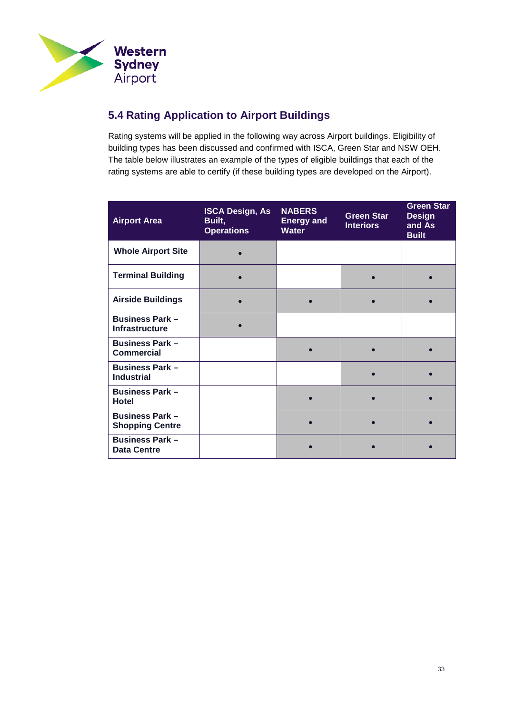

## <span id="page-32-0"></span>**5.4 Rating Application to Airport Buildings**

Rating systems will be applied in the following way across Airport buildings. Eligibility of building types has been discussed and confirmed with ISCA, Green Star and NSW OEH. The table below illustrates an example of the types of eligible buildings that each of the rating systems are able to certify (if these building types are developed on the Airport).

| <b>Airport Area</b>                              | <b>ISCA Design, As</b><br>Built,<br><b>Operations</b> | <b>NABERS</b><br><b>Energy and</b><br><b>Water</b> | <b>Green Star</b><br><b>Interiors</b> | <b>Green Star</b><br><b>Design</b><br>and As<br><b>Built</b> |
|--------------------------------------------------|-------------------------------------------------------|----------------------------------------------------|---------------------------------------|--------------------------------------------------------------|
| <b>Whole Airport Site</b>                        |                                                       |                                                    |                                       |                                                              |
| <b>Terminal Building</b>                         |                                                       |                                                    |                                       |                                                              |
| <b>Airside Buildings</b>                         |                                                       |                                                    |                                       |                                                              |
| <b>Business Park -</b><br><b>Infrastructure</b>  |                                                       |                                                    |                                       |                                                              |
| <b>Business Park -</b><br><b>Commercial</b>      |                                                       |                                                    |                                       |                                                              |
| <b>Business Park -</b><br><b>Industrial</b>      |                                                       |                                                    |                                       |                                                              |
| <b>Business Park -</b><br><b>Hotel</b>           |                                                       |                                                    |                                       |                                                              |
| <b>Business Park -</b><br><b>Shopping Centre</b> |                                                       |                                                    |                                       |                                                              |
| <b>Business Park -</b><br><b>Data Centre</b>     |                                                       |                                                    |                                       |                                                              |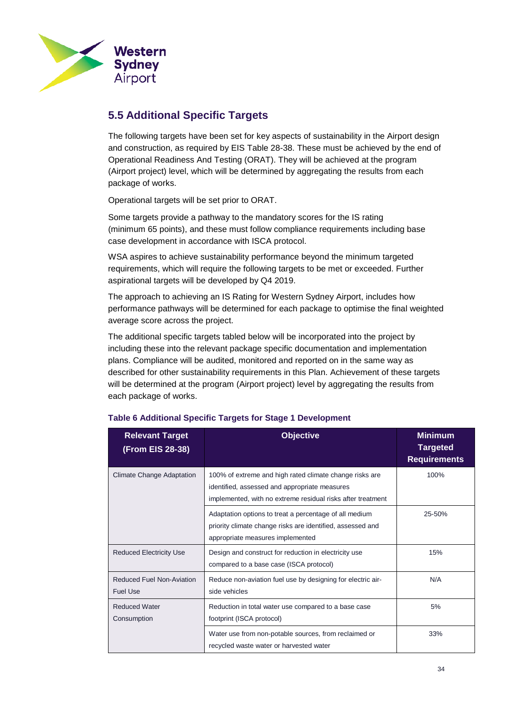

## <span id="page-33-0"></span>**5.5 Additional Specific Targets**

The following targets have been set for key aspects of sustainability in the Airport design and construction, as required by EIS Table 28-38. These must be achieved by the end of Operational Readiness And Testing (ORAT). They will be achieved at the program (Airport project) level, which will be determined by aggregating the results from each package of works.

Operational targets will be set prior to ORAT.

Some targets provide a pathway to the mandatory scores for the IS rating (minimum 65 points), and these must follow compliance requirements including base case development in accordance with ISCA protocol.

WSA aspires to achieve sustainability performance beyond the minimum targeted requirements, which will require the following targets to be met or exceeded. Further aspirational targets will be developed by Q4 2019.

The approach to achieving an IS Rating for Western Sydney Airport, includes how performance pathways will be determined for each package to optimise the final weighted average score across the project.

The additional specific targets tabled below will be incorporated into the project by including these into the relevant package specific documentation and implementation plans. Compliance will be audited, monitored and reported on in the same way as described for other sustainability requirements in this Plan. Achievement of these targets will be determined at the program (Airport project) level by aggregating the results from each package of works.

| <b>Relevant Target</b><br>(From EIS 28-38)          | <b>Objective</b>                                                                                                                                                        | <b>Minimum</b><br><b>Targeted</b><br><b>Requirements</b> |
|-----------------------------------------------------|-------------------------------------------------------------------------------------------------------------------------------------------------------------------------|----------------------------------------------------------|
| Climate Change Adaptation                           | 100% of extreme and high rated climate change risks are<br>identified, assessed and appropriate measures<br>implemented, with no extreme residual risks after treatment | 100%                                                     |
|                                                     | Adaptation options to treat a percentage of all medium<br>priority climate change risks are identified, assessed and<br>appropriate measures implemented                | 25-50%                                                   |
| <b>Reduced Electricity Use</b>                      | Design and construct for reduction in electricity use<br>compared to a base case (ISCA protocol)                                                                        | 15%                                                      |
| <b>Reduced Fuel Non-Aviation</b><br><b>Fuel Use</b> | Reduce non-aviation fuel use by designing for electric air-<br>side vehicles                                                                                            | N/A                                                      |
| <b>Reduced Water</b><br>Consumption                 | Reduction in total water use compared to a base case<br>footprint (ISCA protocol)                                                                                       | 5%                                                       |
|                                                     | Water use from non-potable sources, from reclaimed or<br>recycled waste water or harvested water                                                                        | 33%                                                      |

#### **Table 6 Additional Specific Targets for Stage 1 Development**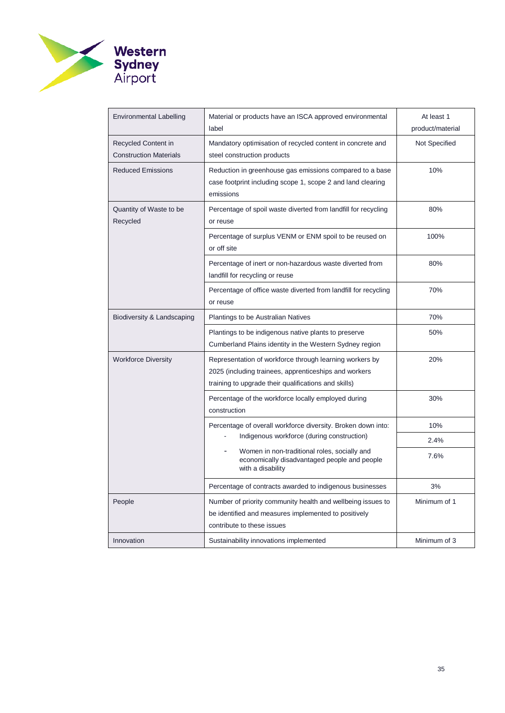

| Environmental Labelling                              | Material or products have an ISCA approved environmental<br>label                                                                                                        | At least 1<br>product/material |
|------------------------------------------------------|--------------------------------------------------------------------------------------------------------------------------------------------------------------------------|--------------------------------|
| Recycled Content in<br><b>Construction Materials</b> | Mandatory optimisation of recycled content in concrete and<br>steel construction products                                                                                | Not Specified                  |
| Reduced Emissions                                    | Reduction in greenhouse gas emissions compared to a base<br>case footprint including scope 1, scope 2 and land clearing<br>emissions                                     | 10%                            |
| Quantity of Waste to be<br>Recycled                  | Percentage of spoil waste diverted from landfill for recycling<br>or reuse                                                                                               | 80%                            |
|                                                      | Percentage of surplus VENM or ENM spoil to be reused on<br>or off site                                                                                                   | 100%                           |
|                                                      | Percentage of inert or non-hazardous waste diverted from<br>landfill for recycling or reuse                                                                              | 80%                            |
|                                                      | Percentage of office waste diverted from landfill for recycling<br>or reuse                                                                                              | 70%                            |
| Biodiversity & Landscaping                           | Plantings to be Australian Natives                                                                                                                                       | 70%                            |
|                                                      | Plantings to be indigenous native plants to preserve<br>Cumberland Plains identity in the Western Sydney region                                                          | 50%                            |
| <b>Workforce Diversity</b>                           | Representation of workforce through learning workers by<br>2025 (including trainees, apprenticeships and workers<br>training to upgrade their qualifications and skills) | 20%                            |
|                                                      | Percentage of the workforce locally employed during<br>construction                                                                                                      | 30%                            |
|                                                      | Percentage of overall workforce diversity. Broken down into:                                                                                                             | 10%                            |
|                                                      | Indigenous workforce (during construction)                                                                                                                               | 2.4%                           |
|                                                      | Women in non-traditional roles, socially and<br>economically disadvantaged people and people<br>with a disability                                                        | 7.6%                           |
|                                                      | Percentage of contracts awarded to indigenous businesses                                                                                                                 | 3%                             |
| People                                               | Number of priority community health and wellbeing issues to<br>be identified and measures implemented to positively<br>contribute to these issues                        | Minimum of 1                   |
| Innovation                                           | Sustainability innovations implemented                                                                                                                                   | Minimum of 3                   |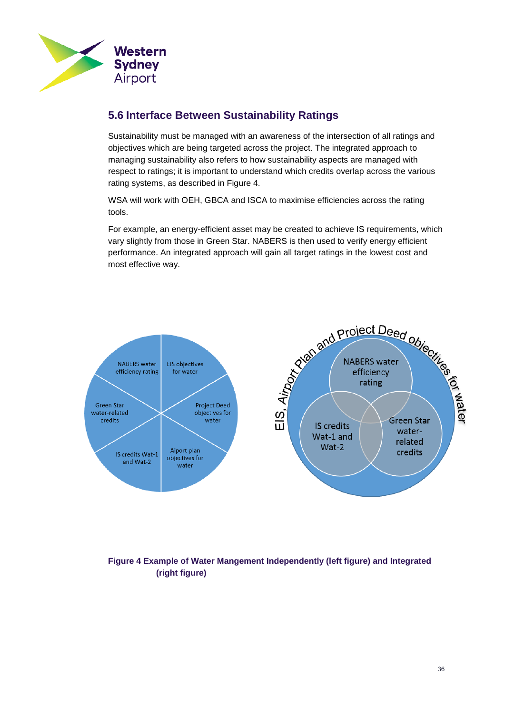

## <span id="page-35-0"></span>**5.6 Interface Between Sustainability Ratings**

Sustainability must be managed with an awareness of the intersection of all ratings and objectives which are being targeted across the project. The integrated approach to managing sustainability also refers to how sustainability aspects are managed with respect to ratings; it is important to understand which credits overlap across the various rating systems, as described in [Figure 4.](#page-35-1)

WSA will work with OEH, GBCA and ISCA to maximise efficiencies across the rating tools.

For example, an energy-efficient asset may be created to achieve IS requirements, which vary slightly from those in Green Star. NABERS is then used to verify energy efficient performance. An integrated approach will gain all target ratings in the lowest cost and most effective way.



## <span id="page-35-1"></span>**Figure 4 Example of Water Mangement Independently (left figure) and Integrated (right figure)**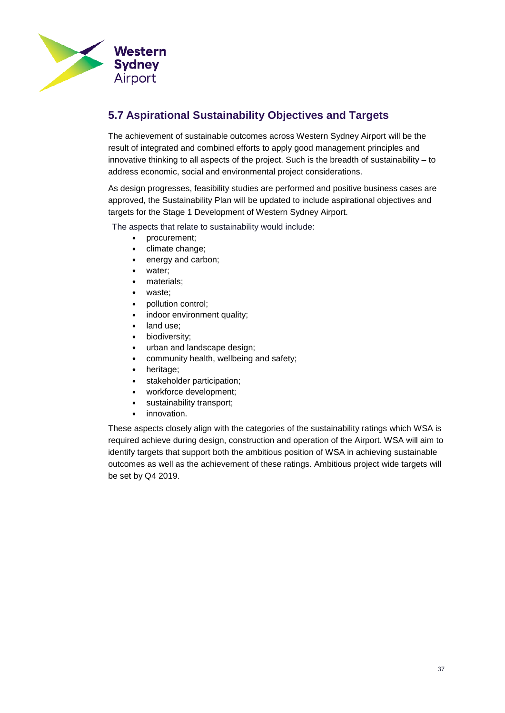

## <span id="page-36-0"></span>**5.7 Aspirational Sustainability Objectives and Targets**

The achievement of sustainable outcomes across Western Sydney Airport will be the result of integrated and combined efforts to apply good management principles and innovative thinking to all aspects of the project. Such is the breadth of sustainability – to address economic, social and environmental project considerations.

As design progresses, feasibility studies are performed and positive business cases are approved, the Sustainability Plan will be updated to include aspirational objectives and targets for the Stage 1 Development of Western Sydney Airport.

The aspects that relate to sustainability would include:

- procurement;
- climate change;
- energy and carbon;
- water;
- materials;
- waste;
- pollution control;
- indoor environment quality;
- land use;
- biodiversity;
- urban and landscape design;
- community health, wellbeing and safety;
- heritage;
- stakeholder participation;
- workforce development;
- sustainability transport;
- innovation.

These aspects closely align with the categories of the sustainability ratings which WSA is required achieve during design, construction and operation of the Airport. WSA will aim to identify targets that support both the ambitious position of WSA in achieving sustainable outcomes as well as the achievement of these ratings. Ambitious project wide targets will be set by Q4 2019.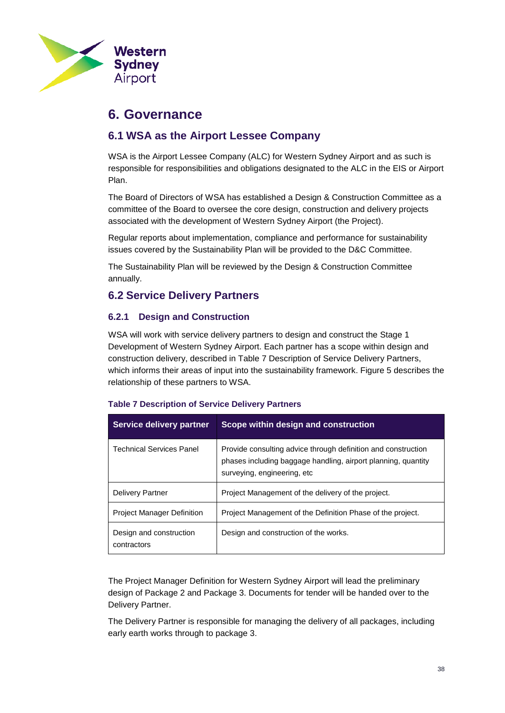

## <span id="page-37-4"></span><span id="page-37-0"></span>**6. Governance**

## <span id="page-37-1"></span>**6.1 WSA as the Airport Lessee Company**

WSA is the Airport Lessee Company (ALC) for Western Sydney Airport and as such is responsible for responsibilities and obligations designated to the ALC in the EIS or Airport Plan.

The Board of Directors of WSA has established a Design & Construction Committee as a committee of the Board to oversee the core design, construction and delivery projects associated with the development of Western Sydney Airport (the Project).

Regular reports about implementation, compliance and performance for sustainability issues covered by the Sustainability Plan will be provided to the D&C Committee.

The Sustainability Plan will be reviewed by the Design & Construction Committee annually.

## <span id="page-37-2"></span>**6.2 Service Delivery Partners**

### **6.2.1 Design and Construction**

WSA will work with service delivery partners to design and construct the Stage 1 Development of Western Sydney Airport. Each partner has a scope within design and construction delivery, described in Table 7 [Description of Service Delivery Partners,](#page-37-3) which informs their areas of input into the sustainability framework. [Figure 5](#page-38-0) describes the relationship of these partners to WSA.

| Service delivery partner               | Scope within design and construction                                                                                                                           |
|----------------------------------------|----------------------------------------------------------------------------------------------------------------------------------------------------------------|
| Technical Services Panel               | Provide consulting advice through definition and construction<br>phases including baggage handling, airport planning, quantity<br>surveying, engineering, etc. |
| <b>Delivery Partner</b>                | Project Management of the delivery of the project.                                                                                                             |
| <b>Project Manager Definition</b>      | Project Management of the Definition Phase of the project.                                                                                                     |
| Design and construction<br>contractors | Design and construction of the works.                                                                                                                          |

#### <span id="page-37-3"></span>**Table 7 Description of Service Delivery Partners**

The Project Manager Definition for Western Sydney Airport will lead the preliminary design of Package 2 and Package 3. Documents for tender will be handed over to the Delivery Partner.

The Delivery Partner is responsible for managing the delivery of all packages, including early earth works through to package 3.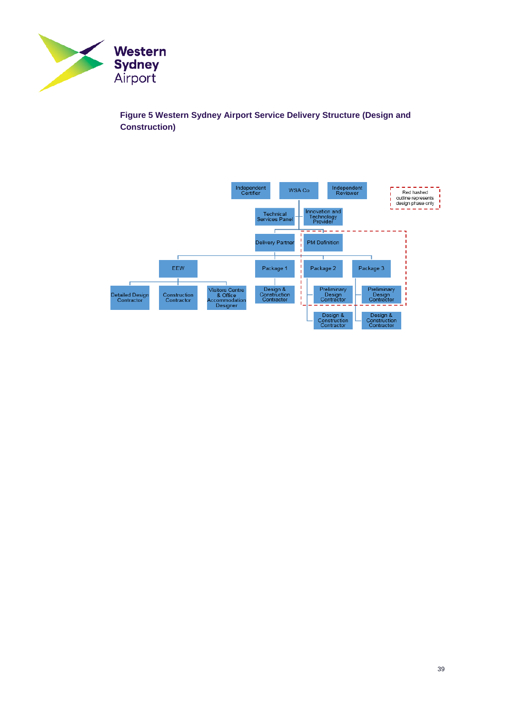

<span id="page-38-0"></span>**Figure 5 Western Sydney Airport Service Delivery Structure (Design and Construction)**

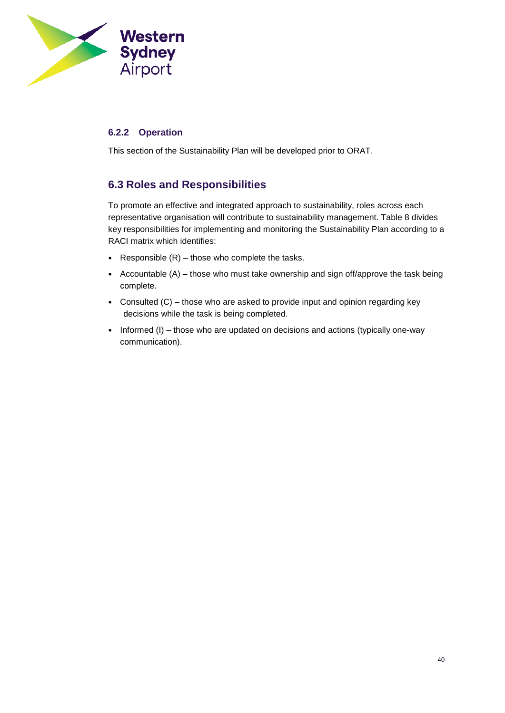

## **6.2.2 Operation**

This section of the Sustainability Plan will be developed prior to ORAT.

## <span id="page-39-0"></span>**6.3 Roles and Responsibilities**

To promote an effective and integrated approach to sustainability, roles across each representative organisation will contribute to sustainability management. [Table 8](#page-40-0) divides key responsibilities for implementing and monitoring the Sustainability Plan according to a RACI matrix which identifies:

- Responsible  $(R)$  those who complete the tasks.
- Accountable  $(A)$  those who must take ownership and sign off/approve the task being complete.
- Consulted (C) those who are asked to provide input and opinion regarding key decisions while the task is being completed.
- Informed (I) those who are updated on decisions and actions (typically one-way communication).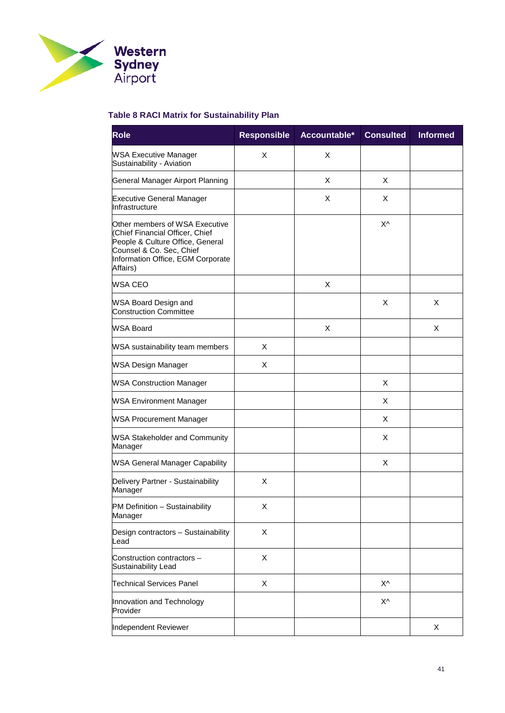

## <span id="page-40-0"></span>**Table 8 RACI Matrix for Sustainability Plan**

| <b>Role</b>                                                                                                                                                                        | <b>Responsible</b> | Accountable* | <b>Consulted</b> | <b>Informed</b> |
|------------------------------------------------------------------------------------------------------------------------------------------------------------------------------------|--------------------|--------------|------------------|-----------------|
| <b>WSA Executive Manager</b><br>Sustainability - Aviation                                                                                                                          | X                  | X            |                  |                 |
| General Manager Airport Planning                                                                                                                                                   |                    | X            | X                |                 |
| <b>Executive General Manager</b><br>Infrastructure                                                                                                                                 |                    | X            | X                |                 |
| Other members of WSA Executive<br>(Chief Financial Officer, Chief<br>People & Culture Office, General<br>Counsel & Co. Sec, Chief<br>Information Office, EGM Corporate<br>Affairs) |                    |              | X٨               |                 |
| <b>WSA CEO</b>                                                                                                                                                                     |                    | X            |                  |                 |
| WSA Board Design and<br><b>Construction Committee</b>                                                                                                                              |                    |              | X                | X               |
| WSA Board                                                                                                                                                                          |                    | X            |                  | X               |
| WSA sustainability team members                                                                                                                                                    | X                  |              |                  |                 |
| <b>WSA Design Manager</b>                                                                                                                                                          | X                  |              |                  |                 |
| <b>WSA Construction Manager</b>                                                                                                                                                    |                    |              | X                |                 |
| <b>WSA Environment Manager</b>                                                                                                                                                     |                    |              | X                |                 |
| <b>WSA Procurement Manager</b>                                                                                                                                                     |                    |              | X                |                 |
| <b>WSA Stakeholder and Community</b><br>Manager                                                                                                                                    |                    |              | X                |                 |
| <b>WSA General Manager Capability</b>                                                                                                                                              |                    |              | X                |                 |
| Delivery Partner - Sustainability<br>Manager                                                                                                                                       | X                  |              |                  |                 |
| PM Definition - Sustainability<br>Manager                                                                                                                                          | Χ                  |              |                  |                 |
| Design contractors - Sustainability<br>Lead                                                                                                                                        | X                  |              |                  |                 |
| Construction contractors -<br>Sustainability Lead                                                                                                                                  | X                  |              |                  |                 |
| <b>Technical Services Panel</b>                                                                                                                                                    | X                  |              | X٨               |                 |
| Innovation and Technology<br>Provider                                                                                                                                              |                    |              | X٨               |                 |
| Independent Reviewer                                                                                                                                                               |                    |              |                  | X               |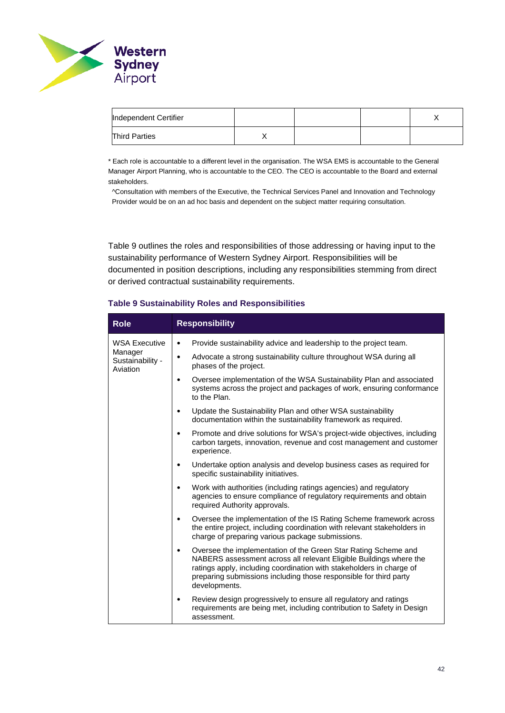

| Independent Certifier |  |  |
|-----------------------|--|--|
| <b>Third Parties</b>  |  |  |

\* Each role is accountable to a different level in the organisation. The WSA EMS is accountable to the General Manager Airport Planning, who is accountable to the CEO. The CEO is accountable to the Board and external stakeholders.

^Consultation with members of the Executive, the Technical Services Panel and Innovation and Technology Provider would be on an ad hoc basis and dependent on the subject matter requiring consultation.

[Table 9](#page-41-0) outlines the roles and responsibilities of those addressing or having input to the sustainability performance of Western Sydney Airport. Responsibilities will be documented in position descriptions, including any responsibilities stemming from direct or derived contractual sustainability requirements.

#### <span id="page-41-0"></span>**Table 9 Sustainability Roles and Responsibilities**

| <b>Role</b>                             | <b>Responsibility</b>                                                                                                                                                                                                                                                                                           |
|-----------------------------------------|-----------------------------------------------------------------------------------------------------------------------------------------------------------------------------------------------------------------------------------------------------------------------------------------------------------------|
| <b>WSA Executive</b>                    | Provide sustainability advice and leadership to the project team.<br>$\bullet$                                                                                                                                                                                                                                  |
| Manager<br>Sustainability -<br>Aviation | Advocate a strong sustainability culture throughout WSA during all<br>$\bullet$<br>phases of the project.                                                                                                                                                                                                       |
|                                         | Oversee implementation of the WSA Sustainability Plan and associated<br>$\bullet$<br>systems across the project and packages of work, ensuring conformance<br>to the Plan.                                                                                                                                      |
|                                         | Update the Sustainability Plan and other WSA sustainability<br>$\bullet$<br>documentation within the sustainability framework as required.                                                                                                                                                                      |
|                                         | Promote and drive solutions for WSA's project-wide objectives, including<br>$\bullet$<br>carbon targets, innovation, revenue and cost management and customer<br>experience.                                                                                                                                    |
|                                         | Undertake option analysis and develop business cases as required for<br>$\bullet$<br>specific sustainability initiatives.                                                                                                                                                                                       |
|                                         | Work with authorities (including ratings agencies) and regulatory<br>$\bullet$<br>agencies to ensure compliance of regulatory requirements and obtain<br>required Authority approvals.                                                                                                                          |
|                                         | Oversee the implementation of the IS Rating Scheme framework across<br>$\bullet$<br>the entire project, including coordination with relevant stakeholders in<br>charge of preparing various package submissions.                                                                                                |
|                                         | Oversee the implementation of the Green Star Rating Scheme and<br>$\bullet$<br>NABERS assessment across all relevant Eligible Buildings where the<br>ratings apply, including coordination with stakeholders in charge of<br>preparing submissions including those responsible for third party<br>developments. |
|                                         | Review design progressively to ensure all regulatory and ratings<br>requirements are being met, including contribution to Safety in Design<br>assessment.                                                                                                                                                       |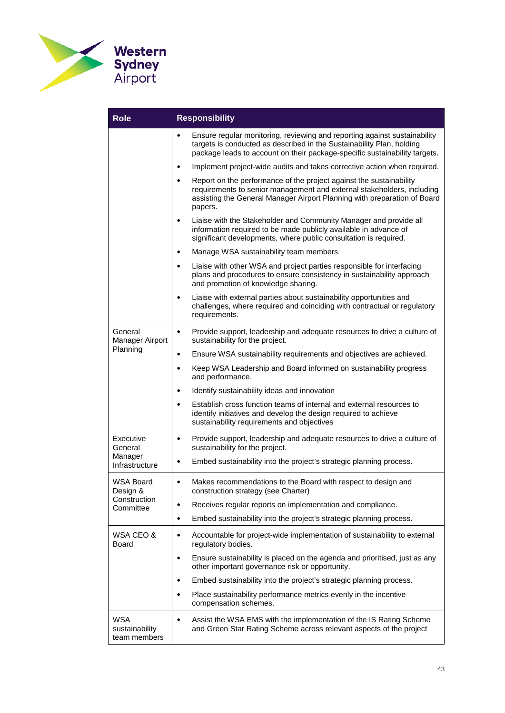

| <b>Role</b>                                  | <b>Responsibility</b>                                                                                                                                                                                                                             |
|----------------------------------------------|---------------------------------------------------------------------------------------------------------------------------------------------------------------------------------------------------------------------------------------------------|
|                                              | Ensure regular monitoring, reviewing and reporting against sustainability<br>$\bullet$<br>targets is conducted as described in the Sustainability Plan, holding<br>package leads to account on their package-specific sustainability targets.     |
|                                              | Implement project-wide audits and takes corrective action when required.                                                                                                                                                                          |
|                                              | Report on the performance of the project against the sustainability<br>$\bullet$<br>requirements to senior management and external stakeholders, including<br>assisting the General Manager Airport Planning with preparation of Board<br>papers. |
|                                              | Liaise with the Stakeholder and Community Manager and provide all<br>$\bullet$<br>information required to be made publicly available in advance of<br>significant developments, where public consultation is required.                            |
|                                              | Manage WSA sustainability team members.<br>$\bullet$                                                                                                                                                                                              |
|                                              | Liaise with other WSA and project parties responsible for interfacing<br>$\bullet$<br>plans and procedures to ensure consistency in sustainability approach<br>and promotion of knowledge sharing.                                                |
|                                              | Liaise with external parties about sustainability opportunities and<br>$\bullet$<br>challenges, where required and coinciding with contractual or regulatory<br>requirements.                                                                     |
| General<br>Manager Airport                   | Provide support, leadership and adequate resources to drive a culture of<br>$\bullet$<br>sustainability for the project.                                                                                                                          |
| Planning                                     | Ensure WSA sustainability requirements and objectives are achieved.<br>$\bullet$                                                                                                                                                                  |
|                                              | Keep WSA Leadership and Board informed on sustainability progress<br>$\bullet$<br>and performance.                                                                                                                                                |
|                                              | Identify sustainability ideas and innovation<br>٠                                                                                                                                                                                                 |
|                                              | Establish cross function teams of internal and external resources to<br>$\bullet$<br>identify initiatives and develop the design required to achieve<br>sustainability requirements and objectives                                                |
| Executive<br>General                         | Provide support, leadership and adequate resources to drive a culture of<br>$\bullet$<br>sustainability for the project.                                                                                                                          |
| Manager<br>Infrastructure                    | Embed sustainability into the project's strategic planning process.                                                                                                                                                                               |
| WSA Board<br>Design &                        | Makes recommendations to the Board with respect to design and<br>$\bullet$<br>construction strategy (see Charter)                                                                                                                                 |
| Construction<br>Committee                    | Receives regular reports on implementation and compliance.<br>٠                                                                                                                                                                                   |
|                                              | Embed sustainability into the project's strategic planning process.                                                                                                                                                                               |
| WSA CEO &<br>Board                           | Accountable for project-wide implementation of sustainability to external<br>٠<br>regulatory bodies.                                                                                                                                              |
|                                              | Ensure sustainability is placed on the agenda and prioritised, just as any<br>other important governance risk or opportunity.                                                                                                                     |
|                                              | Embed sustainability into the project's strategic planning process.<br>$\bullet$                                                                                                                                                                  |
|                                              | Place sustainability performance metrics evenly in the incentive<br>compensation schemes.                                                                                                                                                         |
| <b>WSA</b><br>sustainability<br>team members | Assist the WSA EMS with the implementation of the IS Rating Scheme<br>$\bullet$<br>and Green Star Rating Scheme across relevant aspects of the project                                                                                            |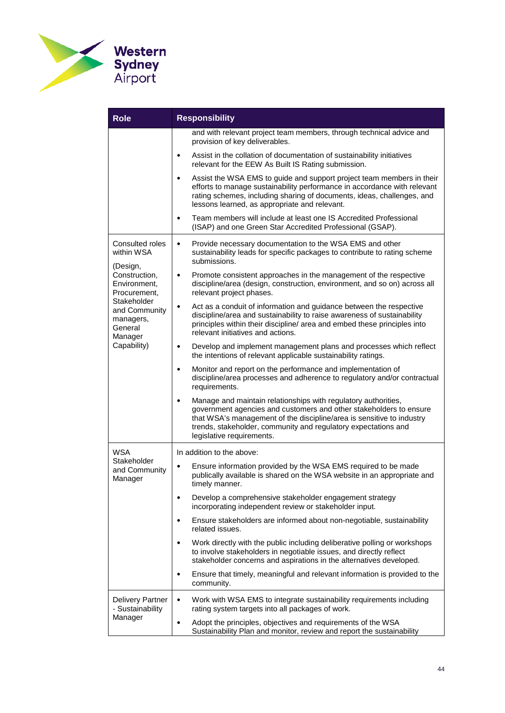

| <b>Role</b>                                                     | <b>Responsibility</b>                                                                                                                                                                                                                                                                                                     |  |  |
|-----------------------------------------------------------------|---------------------------------------------------------------------------------------------------------------------------------------------------------------------------------------------------------------------------------------------------------------------------------------------------------------------------|--|--|
|                                                                 | and with relevant project team members, through technical advice and<br>provision of key deliverables.                                                                                                                                                                                                                    |  |  |
|                                                                 | Assist in the collation of documentation of sustainability initiatives<br>$\bullet$<br>relevant for the EEW As Built IS Rating submission.                                                                                                                                                                                |  |  |
|                                                                 | Assist the WSA EMS to guide and support project team members in their<br>$\bullet$<br>efforts to manage sustainability performance in accordance with relevant<br>rating schemes, including sharing of documents, ideas, challenges, and<br>lessons learned, as appropriate and relevant.                                 |  |  |
|                                                                 | Team members will include at least one IS Accredited Professional<br>$\bullet$<br>(ISAP) and one Green Star Accredited Professional (GSAP).                                                                                                                                                                               |  |  |
| Consulted roles<br>within WSA<br>(Design,                       | Provide necessary documentation to the WSA EMS and other<br>$\bullet$<br>sustainability leads for specific packages to contribute to rating scheme<br>submissions.                                                                                                                                                        |  |  |
| Construction,<br>Environment,<br>Procurement,                   | Promote consistent approaches in the management of the respective<br>$\bullet$<br>discipline/area (design, construction, environment, and so on) across all<br>relevant project phases.                                                                                                                                   |  |  |
| Stakeholder<br>and Community<br>managers,<br>General<br>Manager | Act as a conduit of information and guidance between the respective<br>$\bullet$<br>discipline/area and sustainability to raise awareness of sustainability<br>principles within their discipline/ area and embed these principles into<br>relevant initiatives and actions.                                              |  |  |
| Capability)                                                     | Develop and implement management plans and processes which reflect<br>$\bullet$<br>the intentions of relevant applicable sustainability ratings.                                                                                                                                                                          |  |  |
|                                                                 | Monitor and report on the performance and implementation of<br>$\bullet$<br>discipline/area processes and adherence to regulatory and/or contractual<br>requirements.                                                                                                                                                     |  |  |
|                                                                 | Manage and maintain relationships with regulatory authorities,<br>$\bullet$<br>government agencies and customers and other stakeholders to ensure<br>that WSA's management of the discipline/area is sensitive to industry<br>trends, stakeholder, community and regulatory expectations and<br>legislative requirements. |  |  |
| WSA                                                             | In addition to the above:                                                                                                                                                                                                                                                                                                 |  |  |
| Stakeholder<br>and Community<br>Manager                         | Ensure information provided by the WSA EMS required to be made<br>$\bullet$<br>publically available is shared on the WSA website in an appropriate and<br>timely manner.                                                                                                                                                  |  |  |
|                                                                 | Develop a comprehensive stakeholder engagement strategy<br>$\bullet$<br>incorporating independent review or stakeholder input.                                                                                                                                                                                            |  |  |
|                                                                 | Ensure stakeholders are informed about non-negotiable, sustainability<br>٠<br>related issues.                                                                                                                                                                                                                             |  |  |
|                                                                 | Work directly with the public including deliberative polling or workshops<br>$\bullet$<br>to involve stakeholders in negotiable issues, and directly reflect<br>stakeholder concerns and aspirations in the alternatives developed.                                                                                       |  |  |
|                                                                 | Ensure that timely, meaningful and relevant information is provided to the<br>$\bullet$<br>community.                                                                                                                                                                                                                     |  |  |
| <b>Delivery Partner</b><br>- Sustainability                     | Work with WSA EMS to integrate sustainability requirements including<br>$\bullet$<br>rating system targets into all packages of work.                                                                                                                                                                                     |  |  |
| Manager                                                         | Adopt the principles, objectives and requirements of the WSA<br>$\bullet$<br>Sustainability Plan and monitor, review and report the sustainability                                                                                                                                                                        |  |  |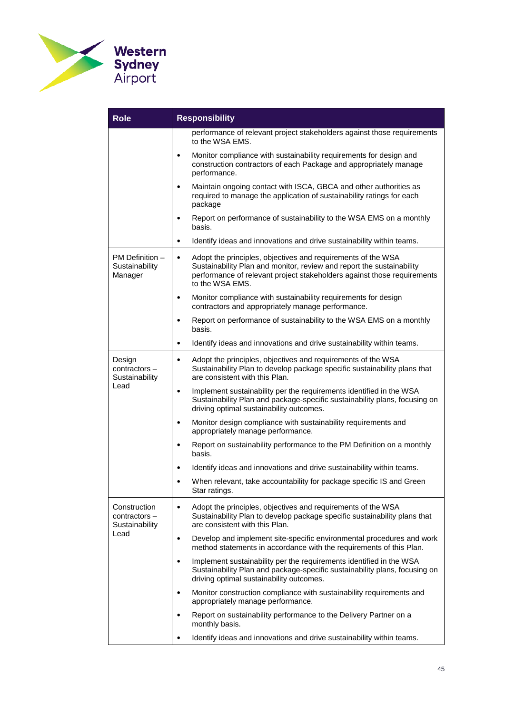

| <b>Role</b>                                       | <b>Responsibility</b>                                                                                                                                                                                                                            |  |  |
|---------------------------------------------------|--------------------------------------------------------------------------------------------------------------------------------------------------------------------------------------------------------------------------------------------------|--|--|
|                                                   | performance of relevant project stakeholders against those requirements<br>to the WSA EMS.                                                                                                                                                       |  |  |
|                                                   | Monitor compliance with sustainability requirements for design and<br>$\bullet$<br>construction contractors of each Package and appropriately manage<br>performance.                                                                             |  |  |
|                                                   | Maintain ongoing contact with ISCA, GBCA and other authorities as<br>$\bullet$<br>required to manage the application of sustainability ratings for each<br>package                                                                               |  |  |
|                                                   | Report on performance of sustainability to the WSA EMS on a monthly<br>$\bullet$<br>basis.                                                                                                                                                       |  |  |
|                                                   | Identify ideas and innovations and drive sustainability within teams.<br>$\bullet$                                                                                                                                                               |  |  |
| PM Definition -<br>Sustainability<br>Manager      | Adopt the principles, objectives and requirements of the WSA<br>$\bullet$<br>Sustainability Plan and monitor, review and report the sustainability<br>performance of relevant project stakeholders against those requirements<br>to the WSA EMS. |  |  |
|                                                   | Monitor compliance with sustainability requirements for design<br>٠<br>contractors and appropriately manage performance.                                                                                                                         |  |  |
|                                                   | Report on performance of sustainability to the WSA EMS on a monthly<br>$\bullet$<br>basis.                                                                                                                                                       |  |  |
|                                                   | Identify ideas and innovations and drive sustainability within teams.<br>$\bullet$                                                                                                                                                               |  |  |
| Design<br>contractors-<br>Sustainability<br>Lead  | Adopt the principles, objectives and requirements of the WSA<br>$\bullet$<br>Sustainability Plan to develop package specific sustainability plans that<br>are consistent with this Plan.                                                         |  |  |
|                                                   | Implement sustainability per the requirements identified in the WSA<br>$\bullet$<br>Sustainability Plan and package-specific sustainability plans, focusing on<br>driving optimal sustainability outcomes.                                       |  |  |
|                                                   | Monitor design compliance with sustainability requirements and<br>$\bullet$<br>appropriately manage performance.                                                                                                                                 |  |  |
|                                                   | Report on sustainability performance to the PM Definition on a monthly<br>basis.                                                                                                                                                                 |  |  |
|                                                   | Identify ideas and innovations and drive sustainability within teams.<br>$\bullet$                                                                                                                                                               |  |  |
|                                                   | When relevant, take accountability for package specific IS and Green<br>$\bullet$<br>Star ratings.                                                                                                                                               |  |  |
| Construction<br>$contractors -$<br>Sustainability | Adopt the principles, objectives and requirements of the WSA<br>$\bullet$<br>Sustainability Plan to develop package specific sustainability plans that<br>are consistent with this Plan.                                                         |  |  |
| Lead                                              | Develop and implement site-specific environmental procedures and work<br>$\bullet$<br>method statements in accordance with the requirements of this Plan.                                                                                        |  |  |
|                                                   | Implement sustainability per the requirements identified in the WSA<br>Sustainability Plan and package-specific sustainability plans, focusing on<br>driving optimal sustainability outcomes.                                                    |  |  |
|                                                   | Monitor construction compliance with sustainability requirements and<br>٠<br>appropriately manage performance.                                                                                                                                   |  |  |
|                                                   | Report on sustainability performance to the Delivery Partner on a<br>monthly basis.                                                                                                                                                              |  |  |
|                                                   | Identify ideas and innovations and drive sustainability within teams.                                                                                                                                                                            |  |  |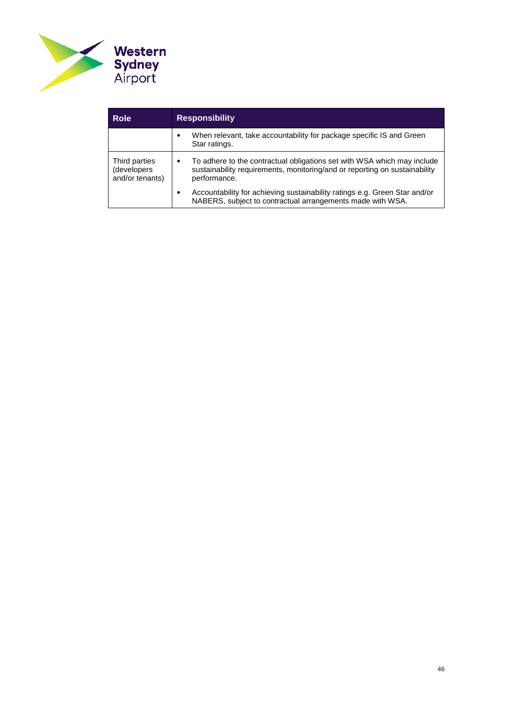

<span id="page-45-0"></span>

| <b>Role</b>                                     | <b>Responsibility</b>                                                                                                                                                 |  |
|-------------------------------------------------|-----------------------------------------------------------------------------------------------------------------------------------------------------------------------|--|
|                                                 | When relevant, take accountability for package specific IS and Green<br>Star ratings.                                                                                 |  |
| Third parties<br>(developers<br>and/or tenants) | To adhere to the contractual obligations set with WSA which may include<br>sustainability requirements, monitoring/and or reporting on sustainability<br>performance. |  |
|                                                 | Accountability for achieving sustainability ratings e.g. Green Star and/or<br>NABERS, subject to contractual arrangements made with WSA.                              |  |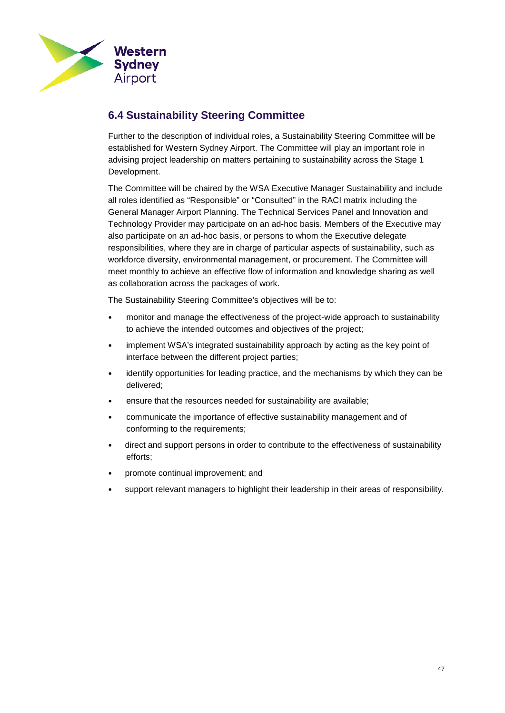

## <span id="page-46-0"></span>**6.4 Sustainability Steering Committee**

Further to the description of individual roles, a Sustainability Steering Committee will be established for Western Sydney Airport. The Committee will play an important role in advising project leadership on matters pertaining to sustainability across the Stage 1 Development.

The Committee will be chaired by the WSA Executive Manager Sustainability and include all roles identified as "Responsible" or "Consulted" in the RACI matrix including the General Manager Airport Planning. The Technical Services Panel and Innovation and Technology Provider may participate on an ad-hoc basis. Members of the Executive may also participate on an ad-hoc basis, or persons to whom the Executive delegate responsibilities, where they are in charge of particular aspects of sustainability, such as workforce diversity, environmental management, or procurement. The Committee will meet monthly to achieve an effective flow of information and knowledge sharing as well as collaboration across the packages of work.

The Sustainability Steering Committee's objectives will be to:

- monitor and manage the effectiveness of the project-wide approach to sustainability to achieve the intended outcomes and objectives of the project;
- implement WSA's integrated sustainability approach by acting as the key point of interface between the different project parties;
- identify opportunities for leading practice, and the mechanisms by which they can be delivered;
- ensure that the resources needed for sustainability are available;
- communicate the importance of effective sustainability management and of conforming to the requirements;
- direct and support persons in order to contribute to the effectiveness of sustainability efforts;
- promote continual improvement; and
- support relevant managers to highlight their leadership in their areas of responsibility.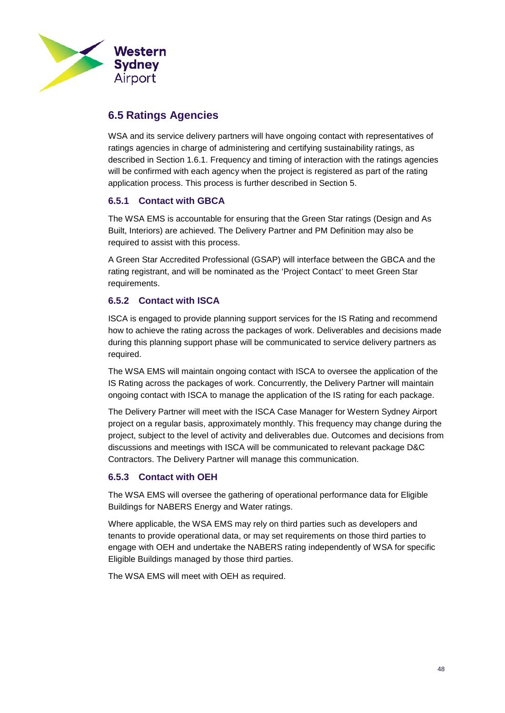

## <span id="page-47-0"></span>**6.5 Ratings Agencies**

WSA and its service delivery partners will have ongoing contact with representatives of ratings agencies in charge of administering and certifying sustainability ratings, as described in Section [1.6.1.](#page-16-0) Frequency and timing of interaction with the ratings agencies will be confirmed with each agency when the project is registered as part of the rating application process. This process is further described in Section 5.

## **6.5.1 Contact with GBCA**

The WSA EMS is accountable for ensuring that the Green Star ratings (Design and As Built, Interiors) are achieved. The Delivery Partner and PM Definition may also be required to assist with this process.

A Green Star Accredited Professional (GSAP) will interface between the GBCA and the rating registrant, and will be nominated as the 'Project Contact' to meet Green Star requirements.

## **6.5.2 Contact with ISCA**

ISCA is engaged to provide planning support services for the IS Rating and recommend how to achieve the rating across the packages of work. Deliverables and decisions made during this planning support phase will be communicated to service delivery partners as required.

The WSA EMS will maintain ongoing contact with ISCA to oversee the application of the IS Rating across the packages of work. Concurrently, the Delivery Partner will maintain ongoing contact with ISCA to manage the application of the IS rating for each package.

The Delivery Partner will meet with the ISCA Case Manager for Western Sydney Airport project on a regular basis, approximately monthly. This frequency may change during the project, subject to the level of activity and deliverables due. Outcomes and decisions from discussions and meetings with ISCA will be communicated to relevant package D&C Contractors. The Delivery Partner will manage this communication.

### **6.5.3 Contact with OEH**

The WSA EMS will oversee the gathering of operational performance data for Eligible Buildings for NABERS Energy and Water ratings.

Where applicable, the WSA EMS may rely on third parties such as developers and tenants to provide operational data, or may set requirements on those third parties to engage with OEH and undertake the NABERS rating independently of WSA for specific Eligible Buildings managed by those third parties.

The WSA EMS will meet with OEH as required.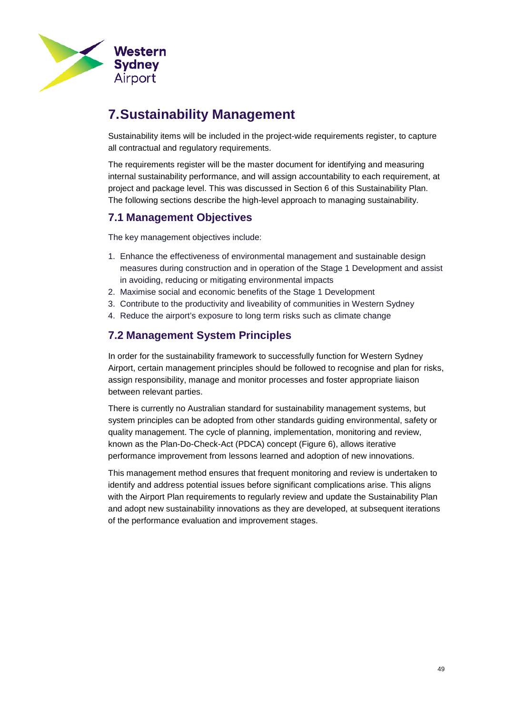

# <span id="page-48-0"></span>**7.Sustainability Management**

Sustainability items will be included in the project-wide requirements register, to capture all contractual and regulatory requirements.

The requirements register will be the master document for identifying and measuring internal sustainability performance, and will assign accountability to each requirement, at project and package level. This was discussed in Section 6 of this Sustainability Plan. The following sections describe the high-level approach to managing sustainability.

## <span id="page-48-1"></span>**7.1 Management Objectives**

The key management objectives include:

- 1. Enhance the effectiveness of environmental management and sustainable design measures during construction and in operation of the Stage 1 Development and assist in avoiding, reducing or mitigating environmental impacts
- 2. Maximise social and economic benefits of the Stage 1 Development
- 3. Contribute to the productivity and liveability of communities in Western Sydney
- 4. Reduce the airport's exposure to long term risks such as climate change

## <span id="page-48-2"></span>**7.2 Management System Principles**

In order for the sustainability framework to successfully function for Western Sydney Airport, certain management principles should be followed to recognise and plan for risks, assign responsibility, manage and monitor processes and foster appropriate liaison between relevant parties.

There is currently no Australian standard for sustainability management systems, but system principles can be adopted from other standards guiding environmental, safety or quality management. The cycle of planning, implementation, monitoring and review, known as the Plan-Do-Check-Act (PDCA) concept [\(Figure 6\)](#page-49-0), allows iterative performance improvement from lessons learned and adoption of new innovations.

This management method ensures that frequent monitoring and review is undertaken to identify and address potential issues before significant complications arise. This aligns with the Airport Plan requirements to regularly review and update the Sustainability Plan and adopt new sustainability innovations as they are developed, at subsequent iterations of the performance evaluation and improvement stages.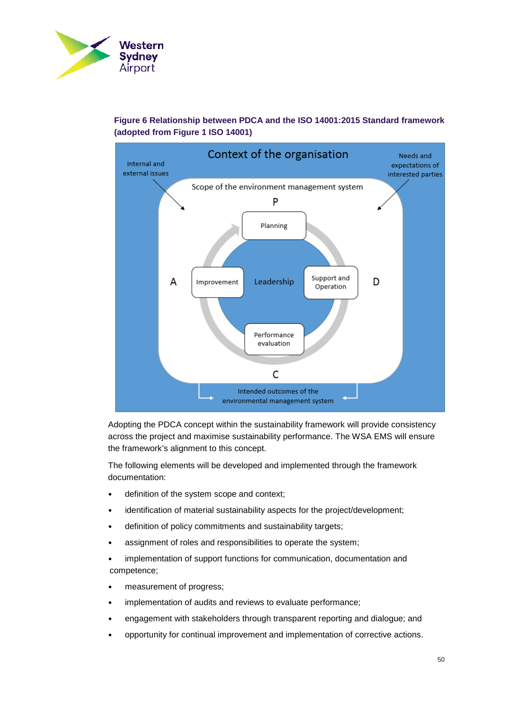



## <span id="page-49-0"></span>**Figure 6 Relationship between PDCA and the ISO 14001:2015 Standard framework (adopted from Figure 1 ISO 14001)**

Adopting the PDCA concept within the sustainability framework will provide consistency across the project and maximise sustainability performance. The WSA EMS will ensure the framework's alignment to this concept.

The following elements will be developed and implemented through the framework documentation:

- definition of the system scope and context;
- identification of material sustainability aspects for the project/development;
- definition of policy commitments and sustainability targets;
- assignment of roles and responsibilities to operate the system;
- implementation of support functions for communication, documentation and competence;
- measurement of progress;
- implementation of audits and reviews to evaluate performance;
- engagement with stakeholders through transparent reporting and dialogue; and
- opportunity for continual improvement and implementation of corrective actions.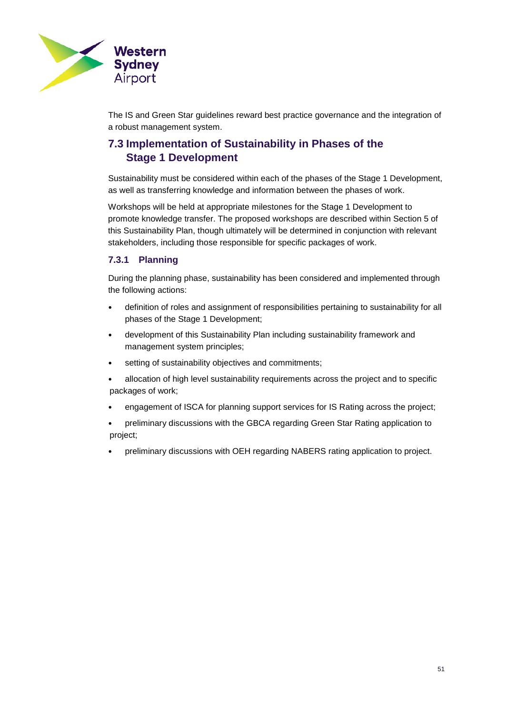

The IS and Green Star guidelines reward best practice governance and the integration of a robust management system.

## <span id="page-50-0"></span>**7.3 Implementation of Sustainability in Phases of the Stage 1 Development**

Sustainability must be considered within each of the phases of the Stage 1 Development, as well as transferring knowledge and information between the phases of work.

Workshops will be held at appropriate milestones for the Stage 1 Development to promote knowledge transfer. The proposed workshops are described within Section 5 of this Sustainability Plan, though ultimately will be determined in conjunction with relevant stakeholders, including those responsible for specific packages of work.

### **7.3.1 Planning**

During the planning phase, sustainability has been considered and implemented through the following actions:

- definition of roles and assignment of responsibilities pertaining to sustainability for all phases of the Stage 1 Development;
- development of this Sustainability Plan including sustainability framework and management system principles;
- setting of sustainability objectives and commitments;
- allocation of high level sustainability requirements across the project and to specific packages of work;
- engagement of ISCA for planning support services for IS Rating across the project;
- preliminary discussions with the GBCA regarding Green Star Rating application to project;
- preliminary discussions with OEH regarding NABERS rating application to project.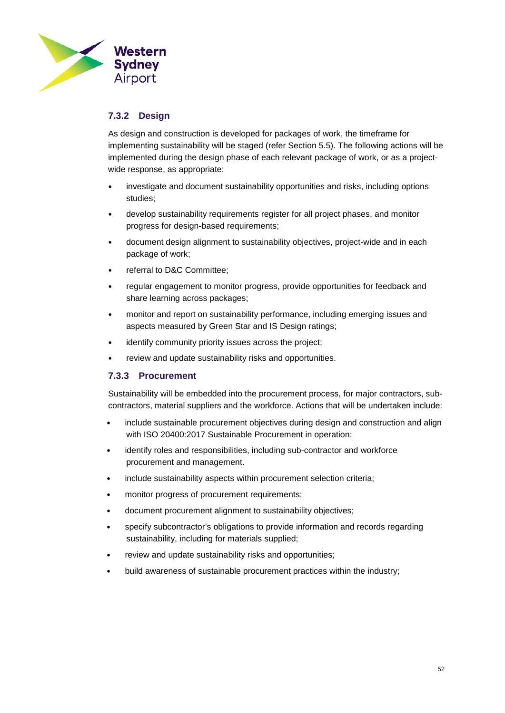

## **7.3.2 Design**

As design and construction is developed for packages of work, the timeframe for implementing sustainability will be staged (refer Section 5.5). The following actions will be implemented during the design phase of each relevant package of work, or as a projectwide response, as appropriate:

- investigate and document sustainability opportunities and risks, including options studies;
- develop sustainability requirements register for all project phases, and monitor progress for design-based requirements;
- document design alignment to sustainability objectives, project-wide and in each package of work;
- referral to D&C Committee;
- regular engagement to monitor progress, provide opportunities for feedback and share learning across packages;
- monitor and report on sustainability performance, including emerging issues and aspects measured by Green Star and IS Design ratings;
- identify community priority issues across the project;
- review and update sustainability risks and opportunities.

#### **7.3.3 Procurement**

Sustainability will be embedded into the procurement process, for major contractors, subcontractors, material suppliers and the workforce. Actions that will be undertaken include:

- include sustainable procurement objectives during design and construction and align with ISO 20400:2017 Sustainable Procurement in operation;
- identify roles and responsibilities, including sub-contractor and workforce procurement and management.
- include sustainability aspects within procurement selection criteria;
- monitor progress of procurement requirements;
- document procurement alignment to sustainability objectives;
- specify subcontractor's obligations to provide information and records regarding sustainability, including for materials supplied;
- review and update sustainability risks and opportunities;
- build awareness of sustainable procurement practices within the industry;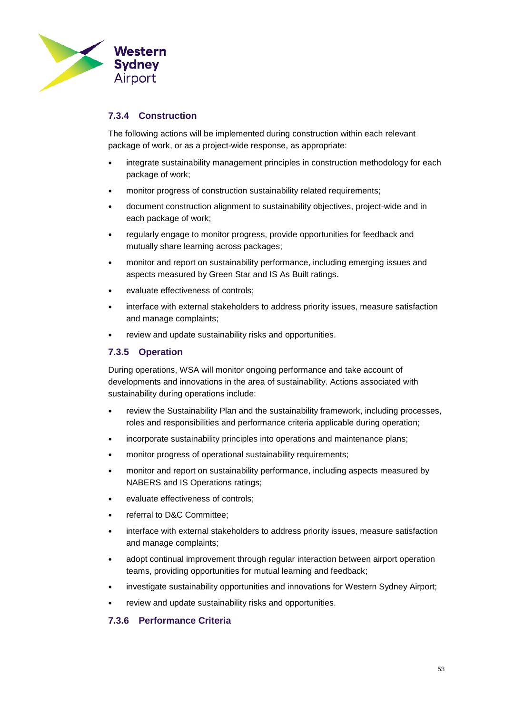

## **7.3.4 Construction**

The following actions will be implemented during construction within each relevant package of work, or as a project-wide response, as appropriate:

- integrate sustainability management principles in construction methodology for each package of work;
- monitor progress of construction sustainability related requirements;
- document construction alignment to sustainability objectives, project-wide and in each package of work;
- regularly engage to monitor progress, provide opportunities for feedback and mutually share learning across packages;
- monitor and report on sustainability performance, including emerging issues and aspects measured by Green Star and IS As Built ratings.
- evaluate effectiveness of controls;
- interface with external stakeholders to address priority issues, measure satisfaction and manage complaints;
- review and update sustainability risks and opportunities.

## **7.3.5 Operation**

During operations, WSA will monitor ongoing performance and take account of developments and innovations in the area of sustainability. Actions associated with sustainability during operations include:

- review the Sustainability Plan and the sustainability framework, including processes, roles and responsibilities and performance criteria applicable during operation;
- incorporate sustainability principles into operations and maintenance plans;
- monitor progress of operational sustainability requirements;
- monitor and report on sustainability performance, including aspects measured by NABERS and IS Operations ratings;
- evaluate effectiveness of controls;
- referral to D&C Committee;
- interface with external stakeholders to address priority issues, measure satisfaction and manage complaints;
- adopt continual improvement through regular interaction between airport operation teams, providing opportunities for mutual learning and feedback;
- investigate sustainability opportunities and innovations for Western Sydney Airport;
- review and update sustainability risks and opportunities.

### <span id="page-52-0"></span>**7.3.6 Performance Criteria**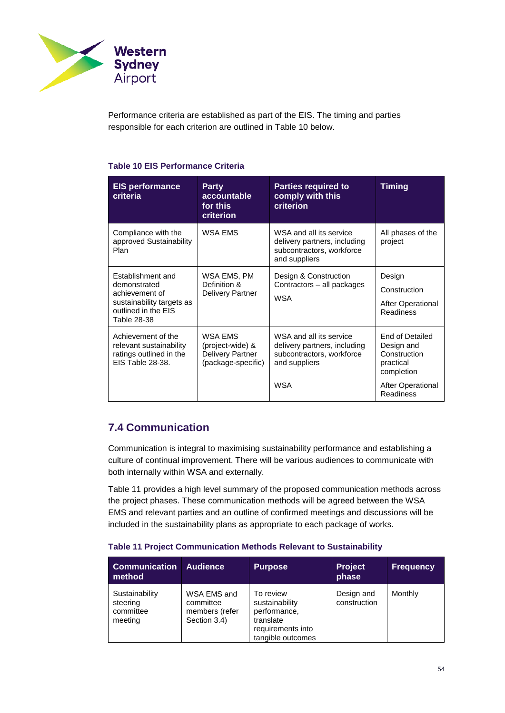

Performance criteria are established as part of the EIS. The timing and parties responsible for each criterion are outlined in [Table 10](#page-53-1) below.

## <span id="page-53-1"></span>**Table 10 EIS Performance Criteria**

| <b>EIS performance</b><br>criteria                                                                                     | <b>Party</b><br>accountable<br>for this<br><b>criterion</b>                  | <b>Parties required to</b><br>comply with this<br><b>criterion</b>                                    | Timing                                                                   |
|------------------------------------------------------------------------------------------------------------------------|------------------------------------------------------------------------------|-------------------------------------------------------------------------------------------------------|--------------------------------------------------------------------------|
| Compliance with the<br>approved Sustainability<br>Plan                                                                 | <b>WSA EMS</b>                                                               | WSA and all its service<br>delivery partners, including<br>subcontractors, workforce<br>and suppliers | All phases of the<br>project                                             |
| Establishment and<br>demonstrated<br>achievement of<br>sustainability targets as<br>outlined in the EIS<br>Table 28-38 | WSA EMS, PM<br>Definition &<br><b>Delivery Partner</b>                       | Design & Construction<br>Contractors - all packages<br>WSA                                            | Design<br>Construction<br><b>After Operational</b><br><b>Readiness</b>   |
| Achievement of the<br>relevant sustainability<br>ratings outlined in the<br>EIS Table 28-38.                           | WSA EMS<br>(project-wide) &<br><b>Delivery Partner</b><br>(package-specific) | WSA and all its service<br>delivery partners, including<br>subcontractors, workforce<br>and suppliers | End of Detailed<br>Design and<br>Construction<br>practical<br>completion |
|                                                                                                                        |                                                                              | <b>WSA</b>                                                                                            | <b>After Operational</b><br><b>Readiness</b>                             |

## <span id="page-53-3"></span><span id="page-53-0"></span>**7.4 Communication**

Communication is integral to maximising sustainability performance and establishing a culture of continual improvement. There will be various audiences to communicate with both internally within WSA and externally.

[Table 11](#page-53-2) provides a high level summary of the proposed communication methods across the project phases. These communication methods will be agreed between the WSA EMS and relevant parties and an outline of confirmed meetings and discussions will be included in the sustainability plans as appropriate to each package of works.

#### <span id="page-53-2"></span>**Table 11 Project Communication Methods Relevant to Sustainability**

| <b>Communication</b><br>method                     | <b>Audience</b>                                            | <b>Purpose</b>                                                                                     | <b>Project</b><br>phase    | <b>Frequency</b> |
|----------------------------------------------------|------------------------------------------------------------|----------------------------------------------------------------------------------------------------|----------------------------|------------------|
| Sustainability<br>steering<br>committee<br>meeting | WSA EMS and<br>committee<br>members (refer<br>Section 3.4) | To review<br>sustainability<br>performance,<br>translate<br>requirements into<br>tangible outcomes | Design and<br>construction | Monthly          |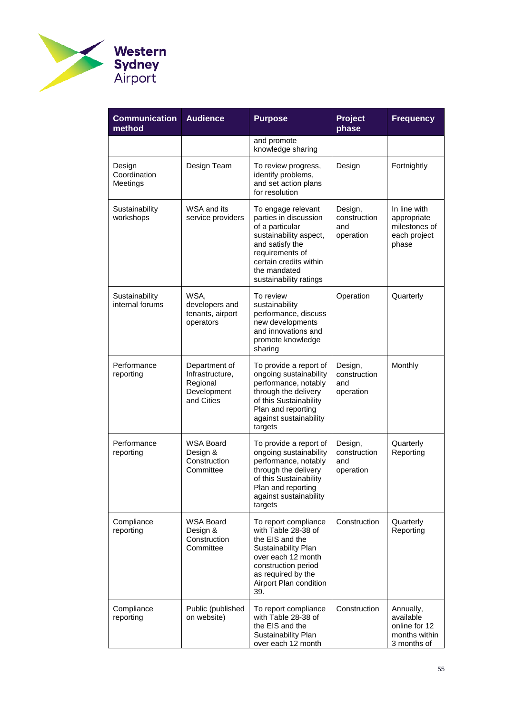

| <b>Communication</b><br>method     | <b>Audience</b>                                                           | <b>Purpose</b>                                                                                                                                                                                     | <b>Project</b><br>phase                     | <b>Frequency</b>                                                        |
|------------------------------------|---------------------------------------------------------------------------|----------------------------------------------------------------------------------------------------------------------------------------------------------------------------------------------------|---------------------------------------------|-------------------------------------------------------------------------|
|                                    |                                                                           | and promote<br>knowledge sharing                                                                                                                                                                   |                                             |                                                                         |
| Design<br>Coordination<br>Meetings | Design Team                                                               | To review progress,<br>identify problems,<br>and set action plans<br>for resolution                                                                                                                | Design                                      | Fortnightly                                                             |
| Sustainability<br>workshops        | WSA and its<br>service providers                                          | To engage relevant<br>parties in discussion<br>of a particular<br>sustainability aspect,<br>and satisfy the<br>requirements of<br>certain credits within<br>the mandated<br>sustainability ratings | Design,<br>construction<br>and<br>operation | In line with<br>appropriate<br>milestones of<br>each project<br>phase   |
| Sustainability<br>internal forums  | WSA,<br>developers and<br>tenants, airport<br>operators                   | To review<br>sustainability<br>performance, discuss<br>new developments<br>and innovations and<br>promote knowledge<br>sharing                                                                     | Operation                                   | Quarterly                                                               |
| Performance<br>reporting           | Department of<br>Infrastructure,<br>Regional<br>Development<br>and Cities | To provide a report of<br>ongoing sustainability<br>performance, notably<br>through the delivery<br>of this Sustainability<br>Plan and reporting<br>against sustainability<br>targets              | Design,<br>construction<br>and<br>operation | Monthly                                                                 |
| Performance<br>reporting           | <b>WSA Board</b><br>Design &<br>Construction<br>Committee                 | To provide a report of<br>ongoing sustainability<br>performance, notably<br>through the delivery<br>of this Sustainability<br>Plan and reporting<br>against sustainability<br>targets              | Design,<br>construction<br>and<br>operation | Quarterly<br>Reporting                                                  |
| Compliance<br>reporting            | <b>WSA Board</b><br>Design &<br>Construction<br>Committee                 | To report compliance<br>with Table 28-38 of<br>the EIS and the<br>Sustainability Plan<br>over each 12 month<br>construction period<br>as required by the<br>Airport Plan condition<br>39.          | Construction                                | Quarterly<br>Reporting                                                  |
| Compliance<br>reporting            | Public (published<br>on website)                                          | To report compliance<br>with Table 28-38 of<br>the EIS and the<br>Sustainability Plan<br>over each 12 month                                                                                        | Construction                                | Annually,<br>available<br>online for 12<br>months within<br>3 months of |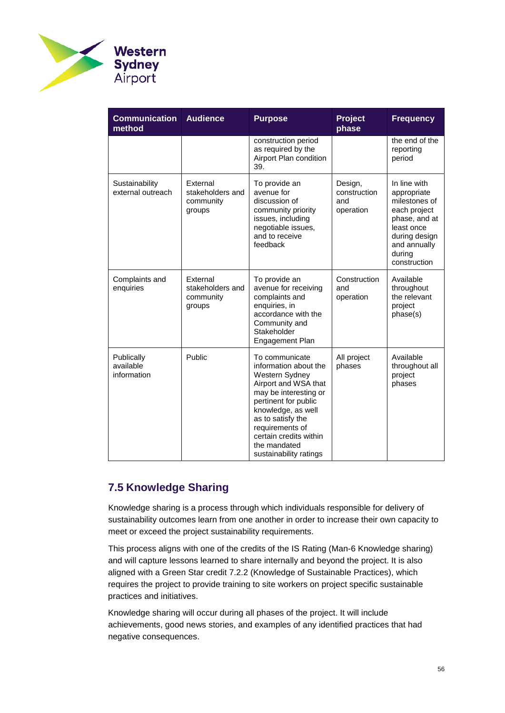

| <b>Communication</b><br>method         | <b>Audience</b>                                     | <b>Purpose</b>                                                                                                                                                                                                                                                       | <b>Project</b><br>phase                     | <b>Frequency</b>                                                                                                                                       |
|----------------------------------------|-----------------------------------------------------|----------------------------------------------------------------------------------------------------------------------------------------------------------------------------------------------------------------------------------------------------------------------|---------------------------------------------|--------------------------------------------------------------------------------------------------------------------------------------------------------|
|                                        |                                                     | construction period<br>as required by the<br>Airport Plan condition<br>39.                                                                                                                                                                                           |                                             | the end of the<br>reporting<br>period                                                                                                                  |
| Sustainability<br>external outreach    | External<br>stakeholders and<br>community<br>groups | To provide an<br>avenue for<br>discussion of<br>community priority<br>issues, including<br>negotiable issues,<br>and to receive<br>feedback                                                                                                                          | Design,<br>construction<br>and<br>operation | In line with<br>appropriate<br>milestones of<br>each project<br>phase, and at<br>least once<br>during design<br>and annually<br>during<br>construction |
| Complaints and<br>enquiries            | External<br>stakeholders and<br>community<br>groups | To provide an<br>avenue for receiving<br>complaints and<br>enquiries, in<br>accordance with the<br>Community and<br>Stakeholder<br>Engagement Plan                                                                                                                   | Construction<br>and<br>operation            | Available<br>throughout<br>the relevant<br>project<br>phase(s)                                                                                         |
| Publically<br>available<br>information | Public                                              | To communicate<br>information about the<br>Western Sydney<br>Airport and WSA that<br>may be interesting or<br>pertinent for public<br>knowledge, as well<br>as to satisfy the<br>requirements of<br>certain credits within<br>the mandated<br>sustainability ratings | All project<br>phases                       | Available<br>throughout all<br>project<br>phases                                                                                                       |

## <span id="page-55-1"></span><span id="page-55-0"></span>**7.5 Knowledge Sharing**

Knowledge sharing is a process through which individuals responsible for delivery of sustainability outcomes learn from one another in order to increase their own capacity to meet or exceed the project sustainability requirements.

This process aligns with one of the credits of the IS Rating (Man-6 Knowledge sharing) and will capture lessons learned to share internally and beyond the project. It is also aligned with a Green Star credit 7.2.2 (Knowledge of Sustainable Practices), which requires the project to provide training to site workers on project specific sustainable practices and initiatives.

Knowledge sharing will occur during all phases of the project. It will include achievements, good news stories, and examples of any identified practices that had negative consequences.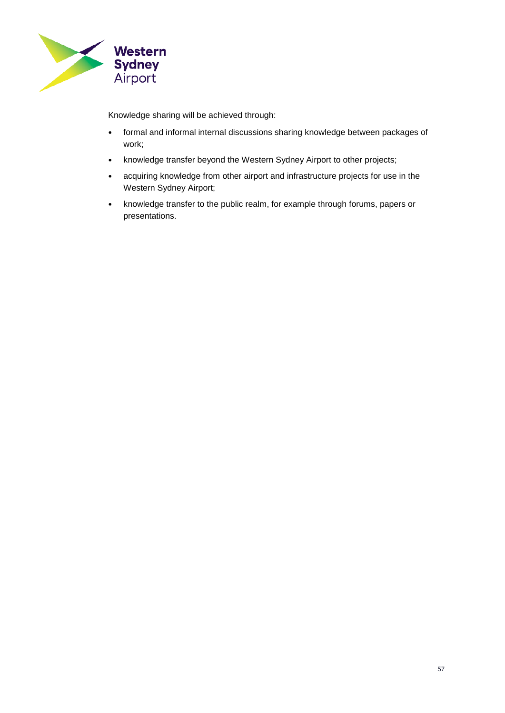

Knowledge sharing will be achieved through:

- formal and informal internal discussions sharing knowledge between packages of work;
- knowledge transfer beyond the Western Sydney Airport to other projects;
- acquiring knowledge from other airport and infrastructure projects for use in the Western Sydney Airport;
- knowledge transfer to the public realm, for example through forums, papers or presentations.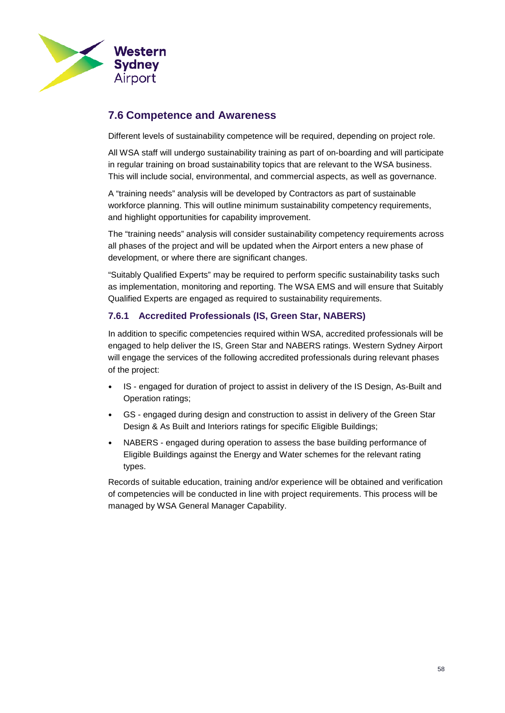

## <span id="page-57-0"></span>**7.6 Competence and Awareness**

Different levels of sustainability competence will be required, depending on project role.

All WSA staff will undergo sustainability training as part of on-boarding and will participate in regular training on broad sustainability topics that are relevant to the WSA business. This will include social, environmental, and commercial aspects, as well as governance.

A "training needs" analysis will be developed by Contractors as part of sustainable workforce planning. This will outline minimum sustainability competency requirements, and highlight opportunities for capability improvement.

The "training needs" analysis will consider sustainability competency requirements across all phases of the project and will be updated when the Airport enters a new phase of development, or where there are significant changes.

"Suitably Qualified Experts" may be required to perform specific sustainability tasks such as implementation, monitoring and reporting. The WSA EMS and will ensure that Suitably Qualified Experts are engaged as required to sustainability requirements.

## **7.6.1 Accredited Professionals (IS, Green Star, NABERS)**

In addition to specific competencies required within WSA, accredited professionals will be engaged to help deliver the IS, Green Star and NABERS ratings. Western Sydney Airport will engage the services of the following accredited professionals during relevant phases of the project:

- IS engaged for duration of project to assist in delivery of the IS Design, As-Built and Operation ratings;
- GS engaged during design and construction to assist in delivery of the Green Star Design & As Built and Interiors ratings for specific Eligible Buildings;
- NABERS engaged during operation to assess the base building performance of Eligible Buildings against the Energy and Water schemes for the relevant rating types.

Records of suitable education, training and/or experience will be obtained and verification of competencies will be conducted in line with project requirements. This process will be managed by WSA General Manager Capability.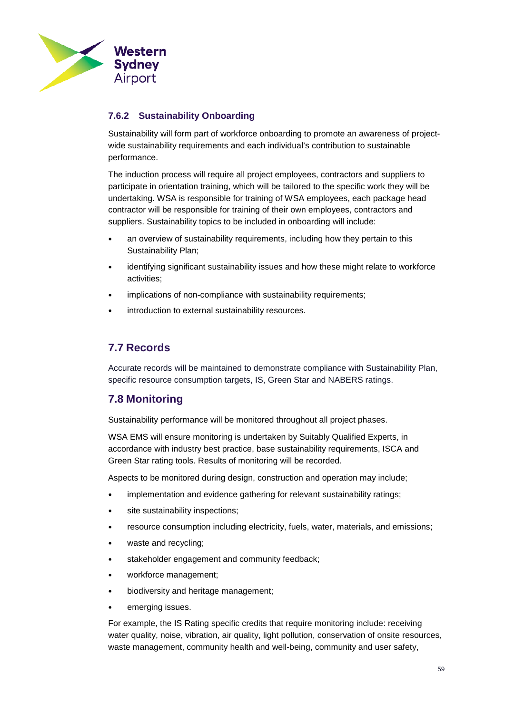

## **7.6.2 Sustainability Onboarding**

Sustainability will form part of workforce onboarding to promote an awareness of projectwide sustainability requirements and each individual's contribution to sustainable performance.

The induction process will require all project employees, contractors and suppliers to participate in orientation training, which will be tailored to the specific work they will be undertaking. WSA is responsible for training of WSA employees, each package head contractor will be responsible for training of their own employees, contractors and suppliers. Sustainability topics to be included in onboarding will include:

- an overview of sustainability requirements, including how they pertain to this Sustainability Plan;
- identifying significant sustainability issues and how these might relate to workforce activities;
- implications of non-compliance with sustainability requirements;
- introduction to external sustainability resources.

## <span id="page-58-0"></span>**7.7 Records**

Accurate records will be maintained to demonstrate compliance with Sustainability Plan, specific resource consumption targets, IS, Green Star and NABERS ratings.

## <span id="page-58-2"></span><span id="page-58-1"></span>**7.8 Monitoring**

Sustainability performance will be monitored throughout all project phases.

WSA EMS will ensure monitoring is undertaken by Suitably Qualified Experts, in accordance with industry best practice, base sustainability requirements, ISCA and Green Star rating tools. Results of monitoring will be recorded.

Aspects to be monitored during design, construction and operation may include;

- implementation and evidence gathering for relevant sustainability ratings;
- site sustainability inspections;
- resource consumption including electricity, fuels, water, materials, and emissions;
- waste and recycling;
- stakeholder engagement and community feedback;
- workforce management;
- biodiversity and heritage management;
- emerging issues.

For example, the IS Rating specific credits that require monitoring include: receiving water quality, noise, vibration, air quality, light pollution, conservation of onsite resources, waste management, community health and well-being, community and user safety,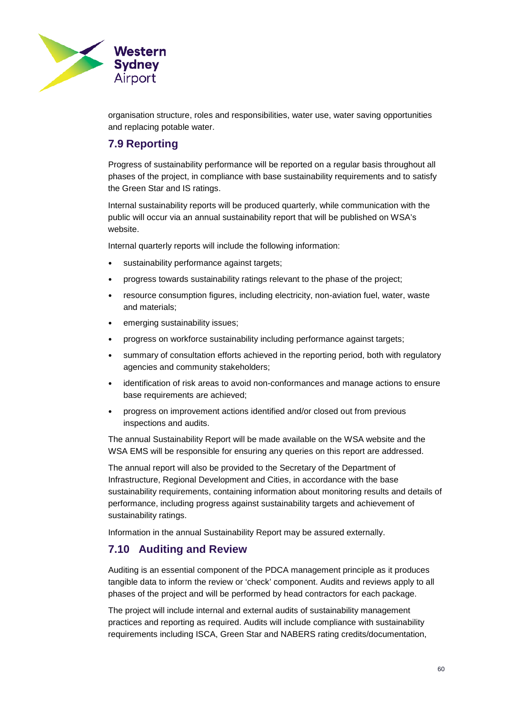

organisation structure, roles and responsibilities, water use, water saving opportunities and replacing potable water.

## <span id="page-59-0"></span>**7.9 Reporting**

Progress of sustainability performance will be reported on a regular basis throughout all phases of the project, in compliance with base sustainability requirements and to satisfy the Green Star and IS ratings.

Internal sustainability reports will be produced quarterly, while communication with the public will occur via an annual sustainability report that will be published on WSA's website.

Internal quarterly reports will include the following information:

- sustainability performance against targets;
- progress towards sustainability ratings relevant to the phase of the project;
- resource consumption figures, including electricity, non-aviation fuel, water, waste and materials;
- emerging sustainability issues:
- progress on workforce sustainability including performance against targets;
- summary of consultation efforts achieved in the reporting period, both with regulatory agencies and community stakeholders;
- identification of risk areas to avoid non-conformances and manage actions to ensure base requirements are achieved;
- progress on improvement actions identified and/or closed out from previous inspections and audits.

The annual Sustainability Report will be made available on the WSA website and the WSA EMS will be responsible for ensuring any queries on this report are addressed.

The annual report will also be provided to the Secretary of the Department of Infrastructure, Regional Development and Cities, in accordance with the base sustainability requirements, containing information about monitoring results and details of performance, including progress against sustainability targets and achievement of sustainability ratings.

Information in the annual Sustainability Report may be assured externally.

## <span id="page-59-1"></span>**7.10 Auditing and Review**

Auditing is an essential component of the PDCA management principle as it produces tangible data to inform the review or 'check' component. Audits and reviews apply to all phases of the project and will be performed by head contractors for each package.

The project will include internal and external audits of sustainability management practices and reporting as required. Audits will include compliance with sustainability requirements including ISCA, Green Star and NABERS rating credits/documentation,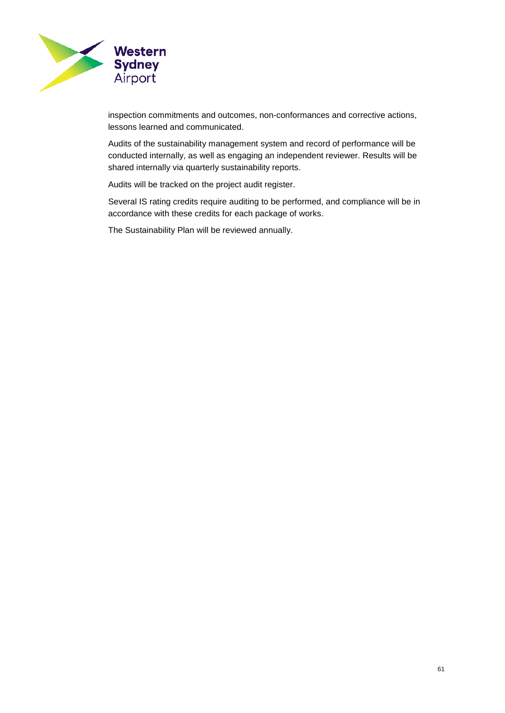

inspection commitments and outcomes, non-conformances and corrective actions, lessons learned and communicated.

Audits of the sustainability management system and record of performance will be conducted internally, as well as engaging an independent reviewer. Results will be shared internally via quarterly sustainability reports.

Audits will be tracked on the project audit register.

Several IS rating credits require auditing to be performed, and compliance will be in accordance with these credits for each package of works.

The Sustainability Plan will be reviewed annually.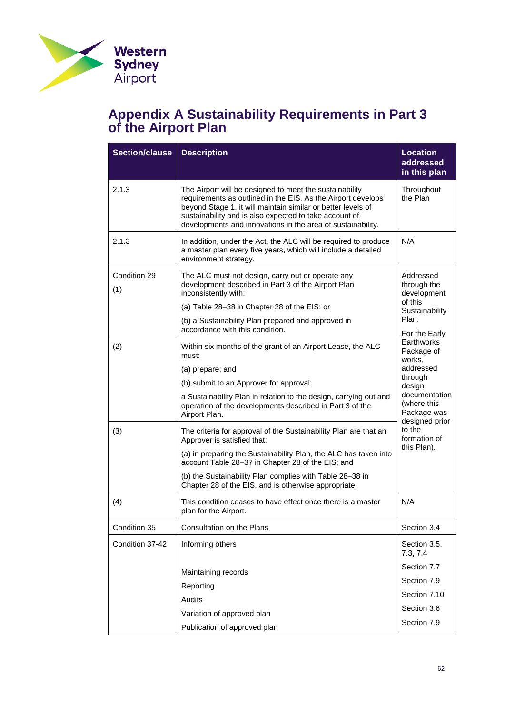

## <span id="page-61-0"></span>**Appendix A Sustainability Requirements in Part 3 of the Airport Plan**

| <b>Section/clause</b> | <b>Description</b>                                                                                                                                                                                                                                                                                                                         | <b>Location</b><br>addressed<br>in this plan                            |
|-----------------------|--------------------------------------------------------------------------------------------------------------------------------------------------------------------------------------------------------------------------------------------------------------------------------------------------------------------------------------------|-------------------------------------------------------------------------|
| 2.1.3                 | Throughout<br>The Airport will be designed to meet the sustainability<br>the Plan<br>requirements as outlined in the EIS. As the Airport develops<br>beyond Stage 1, it will maintain similar or better levels of<br>sustainability and is also expected to take account of<br>developments and innovations in the area of sustainability. |                                                                         |
| 2.1.3                 | In addition, under the Act, the ALC will be required to produce<br>a master plan every five years, which will include a detailed<br>environment strategy.                                                                                                                                                                                  | N/A                                                                     |
| Condition 29<br>(1)   | The ALC must not design, carry out or operate any<br>development described in Part 3 of the Airport Plan<br>inconsistently with:<br>(a) Table 28-38 in Chapter 28 of the EIS; or                                                                                                                                                           | Addressed<br>through the<br>development<br>of this                      |
|                       | (b) a Sustainability Plan prepared and approved in<br>accordance with this condition.                                                                                                                                                                                                                                                      | Sustainability<br>Plan.<br>For the Early                                |
| (2)                   | Within six months of the grant of an Airport Lease, the ALC<br>must:                                                                                                                                                                                                                                                                       | Earthworks<br>Package of<br>works,                                      |
|                       | (a) prepare; and                                                                                                                                                                                                                                                                                                                           | addressed<br>through                                                    |
|                       | (b) submit to an Approver for approval;<br>a Sustainability Plan in relation to the design, carrying out and<br>operation of the developments described in Part 3 of the<br>Airport Plan.                                                                                                                                                  | design<br>documentation<br>(where this<br>Package was<br>designed prior |
| (3)                   | The criteria for approval of the Sustainability Plan are that an<br>Approver is satisfied that:                                                                                                                                                                                                                                            | to the<br>formation of                                                  |
|                       | (a) in preparing the Sustainability Plan, the ALC has taken into<br>account Table 28-37 in Chapter 28 of the EIS; and                                                                                                                                                                                                                      | this Plan).                                                             |
|                       | (b) the Sustainability Plan complies with Table 28-38 in<br>Chapter 28 of the EIS, and is otherwise appropriate.                                                                                                                                                                                                                           |                                                                         |
| (4)                   | This condition ceases to have effect once there is a master<br>plan for the Airport.                                                                                                                                                                                                                                                       | N/A                                                                     |
| Condition 35          | Consultation on the Plans                                                                                                                                                                                                                                                                                                                  | Section 3.4                                                             |
| Condition 37-42       | Informing others                                                                                                                                                                                                                                                                                                                           | Section 3.5,<br>7.3, 7.4                                                |
|                       | Maintaining records                                                                                                                                                                                                                                                                                                                        | Section 7.7                                                             |
|                       | Reporting                                                                                                                                                                                                                                                                                                                                  | Section 7.9                                                             |
|                       | Audits                                                                                                                                                                                                                                                                                                                                     | Section 7.10                                                            |
|                       | Variation of approved plan                                                                                                                                                                                                                                                                                                                 | Section 3.6                                                             |
|                       | Publication of approved plan                                                                                                                                                                                                                                                                                                               | Section 7.9                                                             |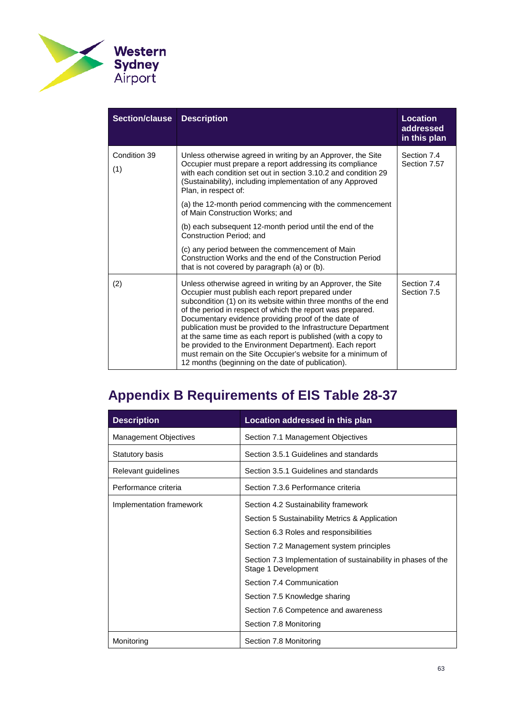

| <b>Section/clause</b> | <b>Description</b>                                                                                                                                                                                                                                                                                                                                                                                                                                                                                                                                                                                                     | <b>Location</b><br>addressed<br>in this plan |
|-----------------------|------------------------------------------------------------------------------------------------------------------------------------------------------------------------------------------------------------------------------------------------------------------------------------------------------------------------------------------------------------------------------------------------------------------------------------------------------------------------------------------------------------------------------------------------------------------------------------------------------------------------|----------------------------------------------|
| Condition 39<br>(1)   | Unless otherwise agreed in writing by an Approver, the Site<br>Occupier must prepare a report addressing its compliance<br>with each condition set out in section 3.10.2 and condition 29<br>(Sustainability), including implementation of any Approved<br>Plan, in respect of:                                                                                                                                                                                                                                                                                                                                        | Section 7.4<br>Section 7.57                  |
|                       | (a) the 12-month period commencing with the commencement<br>of Main Construction Works: and                                                                                                                                                                                                                                                                                                                                                                                                                                                                                                                            |                                              |
|                       | (b) each subsequent 12-month period until the end of the<br>Construction Period; and                                                                                                                                                                                                                                                                                                                                                                                                                                                                                                                                   |                                              |
|                       | (c) any period between the commencement of Main<br>Construction Works and the end of the Construction Period<br>that is not covered by paragraph (a) or (b).                                                                                                                                                                                                                                                                                                                                                                                                                                                           |                                              |
| (2)                   | Unless otherwise agreed in writing by an Approver, the Site<br>Occupier must publish each report prepared under<br>subcondition (1) on its website within three months of the end<br>of the period in respect of which the report was prepared.<br>Documentary evidence providing proof of the date of<br>publication must be provided to the Infrastructure Department<br>at the same time as each report is published (with a copy to<br>be provided to the Environment Department). Each report<br>must remain on the Site Occupier's website for a minimum of<br>12 months (beginning on the date of publication). | Section 7.4<br>Section 7.5                   |

# <span id="page-62-0"></span>**Appendix B Requirements of EIS Table 28-37**

| <b>Description</b>       | Location addressed in this plan                                                      |
|--------------------------|--------------------------------------------------------------------------------------|
| Management Objectives    | Section 7.1 Management Objectives                                                    |
| Statutory basis          | Section 3.5.1 Guidelines and standards                                               |
| Relevant guidelines      | Section 3.5.1 Guidelines and standards                                               |
| Performance criteria     | Section 7.3.6 Performance criteria                                                   |
| Implementation framework | Section 4.2 Sustainability framework                                                 |
|                          | Section 5 Sustainability Metrics & Application                                       |
|                          | Section 6.3 Roles and responsibilities                                               |
|                          | Section 7.2 Management system principles                                             |
|                          | Section 7.3 Implementation of sustainability in phases of the<br>Stage 1 Development |
|                          | Section 7.4 Communication                                                            |
|                          | Section 7.5 Knowledge sharing                                                        |
|                          | Section 7.6 Competence and awareness                                                 |
|                          | Section 7.8 Monitoring                                                               |
| Monitoring               | Section 7.8 Monitoring                                                               |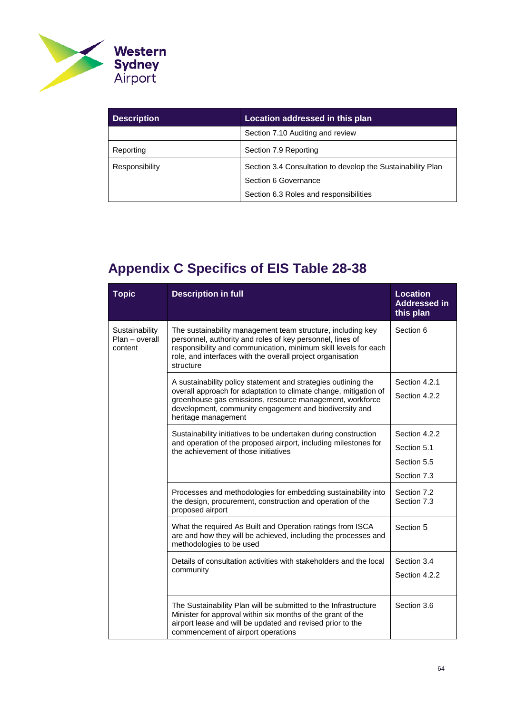

| <b>Description</b> | Location addressed in this plan                             |  |
|--------------------|-------------------------------------------------------------|--|
|                    | Section 7.10 Auditing and review                            |  |
| Reporting          | Section 7.9 Reporting                                       |  |
| Responsibility     | Section 3.4 Consultation to develop the Sustainability Plan |  |
|                    | Section 6 Governance                                        |  |
|                    | Section 6.3 Roles and responsibilities                      |  |

# <span id="page-63-1"></span><span id="page-63-0"></span>**Appendix C Specifics of EIS Table 28-38**

| <b>Topic</b>                                | <b>Description in full</b>                                                                                                                                                                                                                                                      | <b>Location</b><br><b>Addressed in</b><br>this plan        |
|---------------------------------------------|---------------------------------------------------------------------------------------------------------------------------------------------------------------------------------------------------------------------------------------------------------------------------------|------------------------------------------------------------|
| Sustainability<br>Plan - overall<br>content | The sustainability management team structure, including key<br>personnel, authority and roles of key personnel, lines of<br>responsibility and communication, minimum skill levels for each<br>role, and interfaces with the overall project organisation<br>structure          | Section 6                                                  |
|                                             | A sustainability policy statement and strategies outlining the<br>overall approach for adaptation to climate change, mitigation of<br>greenhouse gas emissions, resource management, workforce<br>development, community engagement and biodiversity and<br>heritage management | Section 4.2.1<br>Section 4.2.2                             |
|                                             | Sustainability initiatives to be undertaken during construction<br>and operation of the proposed airport, including milestones for<br>the achievement of those initiatives                                                                                                      | Section 4.2.2<br>Section 5.1<br>Section 5.5<br>Section 7.3 |
|                                             | Processes and methodologies for embedding sustainability into<br>the design, procurement, construction and operation of the<br>proposed airport                                                                                                                                 | Section 7.2<br>Section 7.3                                 |
|                                             | What the required As Built and Operation ratings from ISCA<br>are and how they will be achieved, including the processes and<br>methodologies to be used                                                                                                                        | Section 5                                                  |
|                                             | Details of consultation activities with stakeholders and the local<br>community                                                                                                                                                                                                 | Section 3.4<br>Section 4.2.2                               |
|                                             | The Sustainability Plan will be submitted to the Infrastructure<br>Minister for approval within six months of the grant of the<br>airport lease and will be updated and revised prior to the<br>commencement of airport operations                                              | Section 3.6                                                |